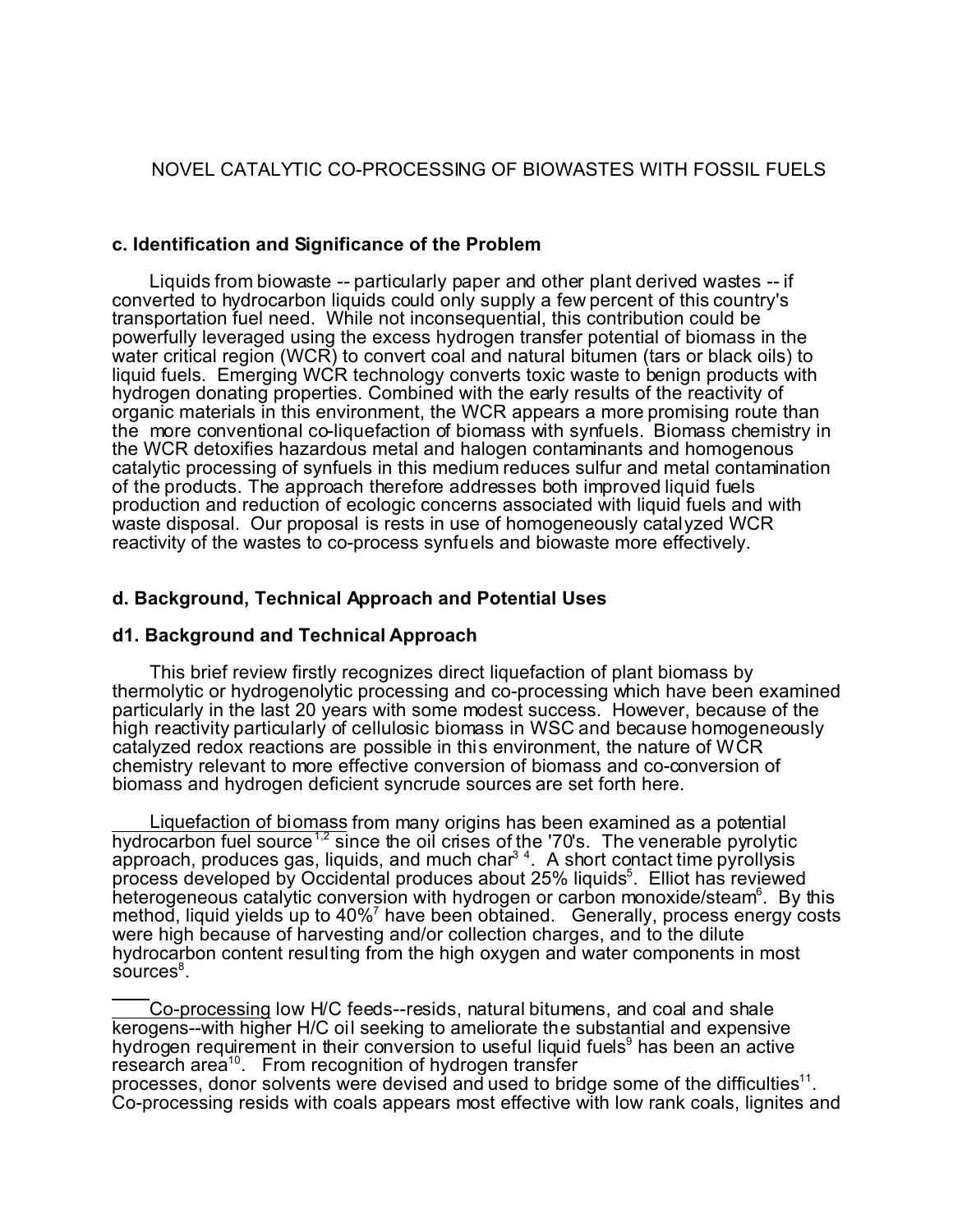## NOVEL CATALYTIC CO-PROCESSING OF BIOWASTES WITH FOSSIL FUELS

### **c. Identification and Significance of the Problem**

Liquids from biowaste -- particularly paper and other plant derived wastes -- if converted to hydrocarbon liquids could only supply a few percent of this country's transportation fuel need. While not inconsequential, this contribution could be powerfully leveraged using the excess hydrogen transfer potential of biomass in the water critical region (WCR) to convert coal and natural bitumen (tars or black oils) to liquid fuels. Emerging WCR technology converts toxic waste to benign products with hydrogen donating properties. Combined with the early results of the reactivity of organic materials in this environment, the WCR appears a more promising route than the more conventional co-liquefaction of biomass with synfuels. Biomass chemistry in the WCR detoxifies hazardous metal and halogen contaminants and homogenous catalytic processing of synfuels in this medium reduces sulfur and metal contamination of the products. The approach therefore addresses both improved liquid fuels production and reduction of ecologic concerns associated with liquid fuels and with waste disposal. Our proposal is rests in use of homogeneously catalyzed WCR reactivity of the wastes to co-process synfuels and biowaste more effectively.

### **d. Background, Technical Approach and Potential Uses**

#### **d1. Background and Technical Approach**

This brief review firstly recognizes direct liquefaction of plant biomass by thermolytic or hydrogenolytic processing and co-processing which have been examined particularly in the last 20 years with some modest success. However, because of the high reactivity particularly of cellulosic biomass in WSC and because homogeneously catalyzed redox reactions are possible in this environment, the nature of WCR chemistry relevant to more effective conversion of biomass and co-conversion of biomass and hydrogen deficient syncrude sources are set forth here.

Liquefaction of biomass from many origins has been examined as a potential hydrocarbon fuel source<sup>1,2</sup> since the oil crises of the '70's. The venerable pyrolytic approach, produces gas, liquids, and much char<sup>34</sup>. A short contact time pyrollysis process developed by Occidental produces about 25% liquids<sup>5</sup>. Elliot has reviewed heterogeneous catalytic conversion with hydrogen or carbon monoxide/steam<sup>6</sup>. By this method, liquid yields up to 40%<sup>7</sup> have been obtained. Generally, process energy costs were high because of harvesting and/or collection charges, and to the dilute hydrocarbon content resulting from the high oxygen and water components in most sources<sup>8</sup>.

Co-processing low H/C feeds--resids, natural bitumens, and coal and shale kerogens--with higher H/C oil seeking to ameliorate the substantial and expensive hydrogen requirement in their conversion to useful liquid fuels<sup>9</sup> has been an active research area<sup>10</sup>. From recognition of hydrogen transfer processes, donor solvents were devised and used to bridge some of the difficulties $^{11}$ . Co-processing resids with coals appears most effective with low rank coals, lignites and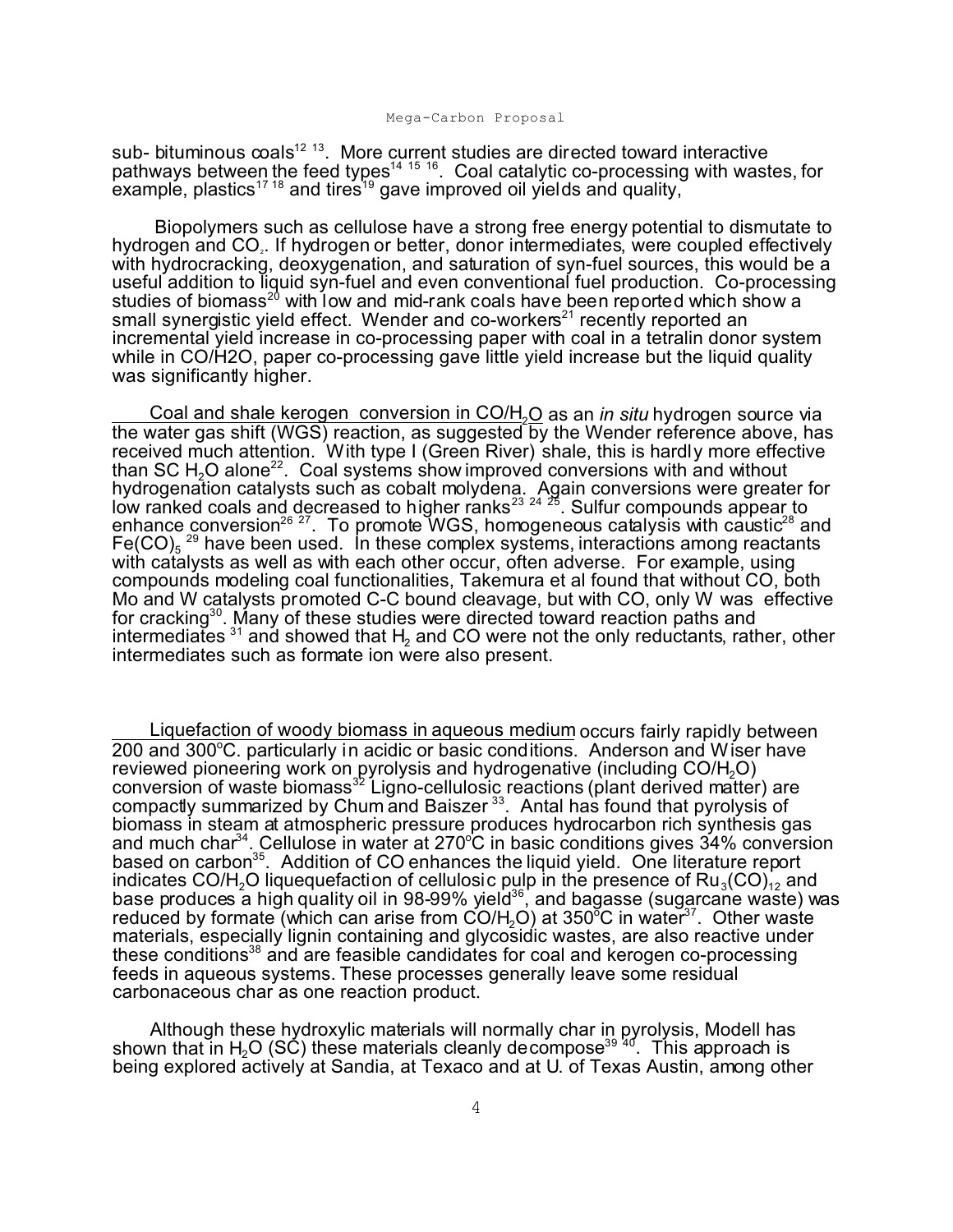sub- bituminous  $\cosh^{12}$  <sup>13</sup>. More current studies are directed toward interactive pathways between the feed types<sup>14 15</sup> 1<sup>6</sup>. Coal catalytic co-processing with wastes, for example, plastics<sup>17</sup> <sup>18</sup> and tires<sup>19</sup> gave improved oil yields and quality,

 Biopolymers such as cellulose have a strong free energy potential to dismutate to hydrogen and CO<sub>2</sub>. If hydrogen or better, donor intermediates, were coupled effectively with hydrocracking, deoxygenation, and saturation of syn-fuel sources, this would be a useful addition to liquid syn-fuel and even conventional fuel production. Co-processing studies of biomass<sup>20</sup> with low and mid-rank coals have been reported which show a small synergistic yield effect. Wender and co-workers<sup>21</sup> recently reported an incremental yield increase in co-processing paper with coal in a tetralin donor system while in CO/H2O, paper co-processing gave little yield increase but the liquid quality was significantly higher.

Coal and shale kerogen conversion in CO/H2O as an *in situ* hydrogen source via the water gas shift (WGS) reaction, as suggested by the Wender reference above, has received much attention. With type I (Green River) shale, this is hardly more effective than SC H $_{\rm 2}$ O alone $^{22}$ . Coal systems show improved conversions with and without hydrogenation catalysts such as cobalt molydena. Again conversions were greater for low ranked coals and decreased to higher ranks<sup>23 24</sup> <sup>25</sup>. Sulfur compounds appear to enhance conversion<sup>26</sup><sup>27</sup>. To promote WGS, homogeneous catalysis with caustic<sup>28</sup> and Fe(CO) $_{5}$   $^{\rm 29}$  have been used. In these complex systems, interactions among reactants with catalysts as well as with each other occur, often adverse. For example, using compounds modeling coal functionalities, Takemura et al found that without CO, both Mo and W catalysts promoted C-C bound cleavage, but with CO, only W was effective for cracking<sup>30</sup>. Many of these studies were directed toward reaction paths and intermediates  $^{\rm 31}$  and showed that  ${\sf H_2}$  and CO were not the only reductants, rather, other intermediates such as formate ion were also present.

Liquefaction of woody biomass in aqueous medium occurs fairly rapidly between 200 and 300°C. particularly in acidic or basic conditions. Anderson and Wiser have reviewed pioneering work on pyrolysis and hydrogenative (including CO/H<sub>2</sub>O) conversion of waste biomass<sup>32</sup> Ligno-cellulosic reactions (plant derived matter) are compactly summarized by Chum and Baiszer<sup>33</sup>. Antal has found that pyrolysis of biomass in steam at atmospheric pressure produces hydrocarbon rich synthesis gas and much char<sup>34</sup>. Cellulose in water at 270 $\degree$ C in basic conditions gives  $34\%$  conversion based on carbon<sup>35</sup>. Addition of CO enhances the liquid yield. One literature report indicates CO/H<sub>2</sub>O liquequefaction of cellulosic pulp in the presence of  $\mathsf{Ru}_{\mathsf{3}}(\mathsf{CO})_{\mathsf{12}}$  and base produces a high quality oil in 98-99% yield<sup>36</sup>, and bagasse (sugarcane waste) was reduced by formate (which can arise from  $CO/H_2O$ ) at 350°C in water<sup>37</sup>. Other waste materials, especially lignin containing and glycosidic wastes, are also reactive under these conditions<sup>38</sup> and are feasible candidates for coal and kerogen co-processing feeds in aqueous systems. These processes generally leave some residual carbonaceous char as one reaction product.

Although these hydroxylic materials will normally char in pyrolysis, Modell has shown that in H<sub>2</sub>O (SC) these materials cleanly decompose<sup>39 40</sup>. This approach is being explored actively at Sandia, at Texaco and at U. of Texas Austin, among other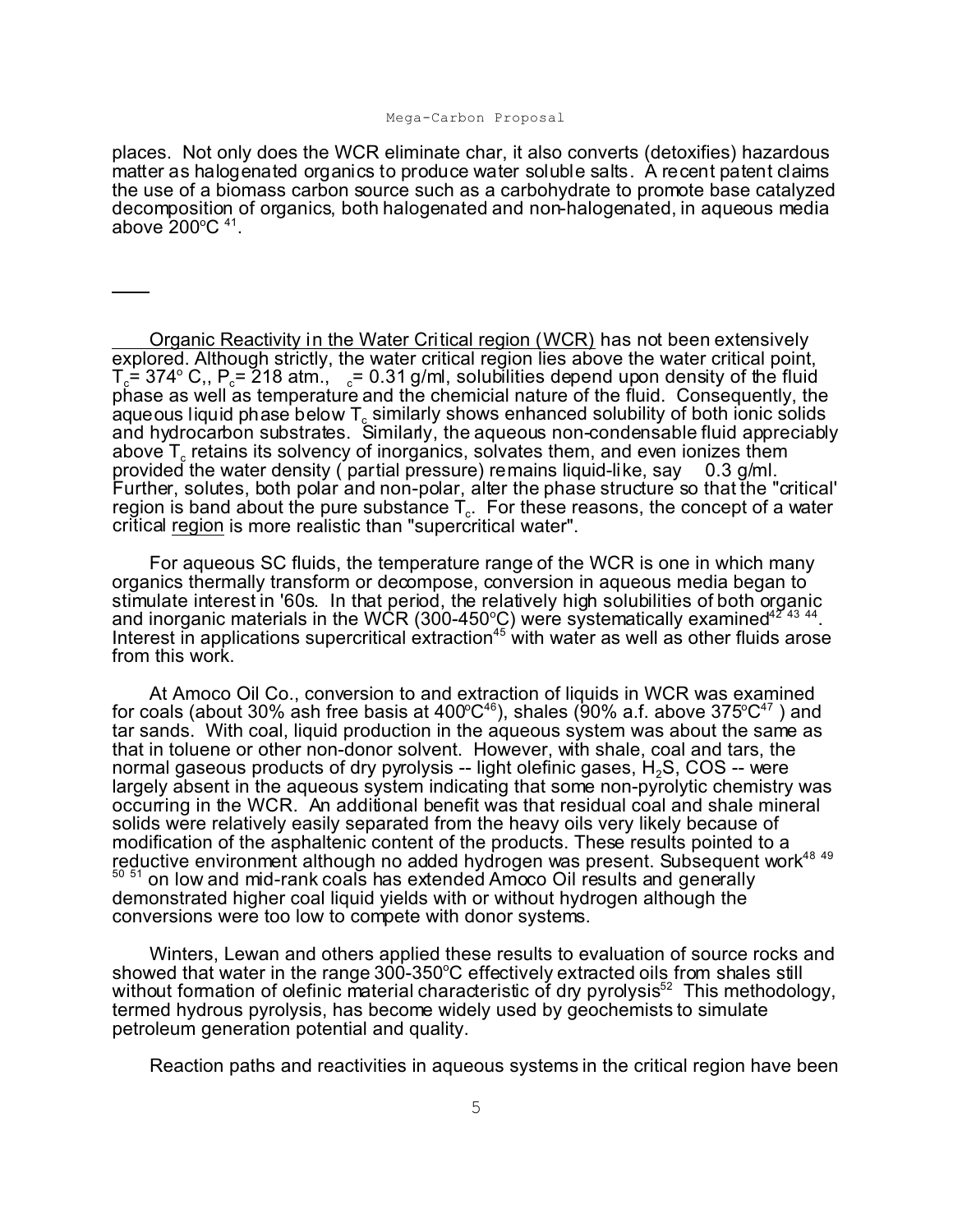places. Not only does the WCR eliminate char, it also converts (detoxifies) hazardous matter as halogenated organics to produce water soluble salts. A recent patent claims the use of a biomass carbon source such as a carbohydrate to promote base catalyzed decomposition of organics, both halogenated and non-halogenated, in aqueous media above 200 $^{\circ}$ C  $^{\text{41}}$ .

Organic Reactivity in the Water Critical region (WCR) has not been extensively explored. Although strictly, the water critical region lies above the water critical point, T<sub>c</sub>= 374° C,, P<sub>c</sub>= 218 atm., c= 0.31 g/ml, solubilities depend upon density of the fluid phase as well as temperature and the chemicial nature of the fluid. Consequently, the aqueous liquid phase below  $\mathsf{T}_{\mathrm{c}}$  similarly shows enhanced solubility of both ionic solids and hydrocarbon substrates. Similarly, the aqueous non-condensable fluid appreciably above  ${\sf T}_{\rm c}$  retains its solvency of inorganics, solvates them, and even ionizes them provided the water density ( partial pressure) remains liquid-like, say  $\,$  0.3 g/ml. Further, solutes, both polar and non-polar, alter the phase structure so that the "critical' region is band about the pure substance  $\mathsf{T}_{\mathrm{c}}$ . For these reasons, the concept of a water critical region is more realistic than "supercritical water".

For aqueous SC fluids, the temperature range of the WCR is one in which many organics thermally transform or decompose, conversion in aqueous media began to stimulate interest in '60s. In that period, the relatively high solubilities of both organic and inorganic materials in the WCR (300-450°C) were systematically examined<sup>42'43</sup> <sup>44</sup>. Interest in applications supercritical extraction<sup>45</sup> with water as well as other fluids arose from this work.

At Amoco Oil Co., conversion to and extraction of liquids in WCR was examined for coals (about 30% ash free basis at 400°C $^{46}$ ), shales (90% a.f. above 375°C $^{47}$  ) and tar sands. With coal, liquid production in the aqueous system was about the same as that in toluene or other non-donor solvent. However, with shale, coal and tars, the normal gaseous products of dry pyrolysis -- light olefinic gases,  $H_2S$ , COS -- were largely absent in the aqueous system indicating that some non-pyrolytic chemistry was occurring in the WCR. An additional benefit was that residual coal and shale mineral solids were relatively easily separated from the heavy oils very likely because of modification of the asphaltenic content of the products. These results pointed to a reductive environment although no added hydrogen was present. Subsequent work<sup>48 49</sup> <sup>50 51</sup> on low and mid-rank coals has extended Amoco Oil results and generally demonstrated higher coal liquid yields with or without hydrogen although the conversions were too low to compete with donor systems.

Winters, Lewan and others applied these results to evaluation of source rocks and showed that water in the range  $300-350^{\circ}$ C effectively extracted oils from shales still without formation of olefinic material characteristic of dry pyrolysis<sup>52</sup> This methodology, termed hydrous pyrolysis, has become widely used by geochemists to simulate petroleum generation potential and quality.

Reaction paths and reactivities in aqueous systems in the critical region have been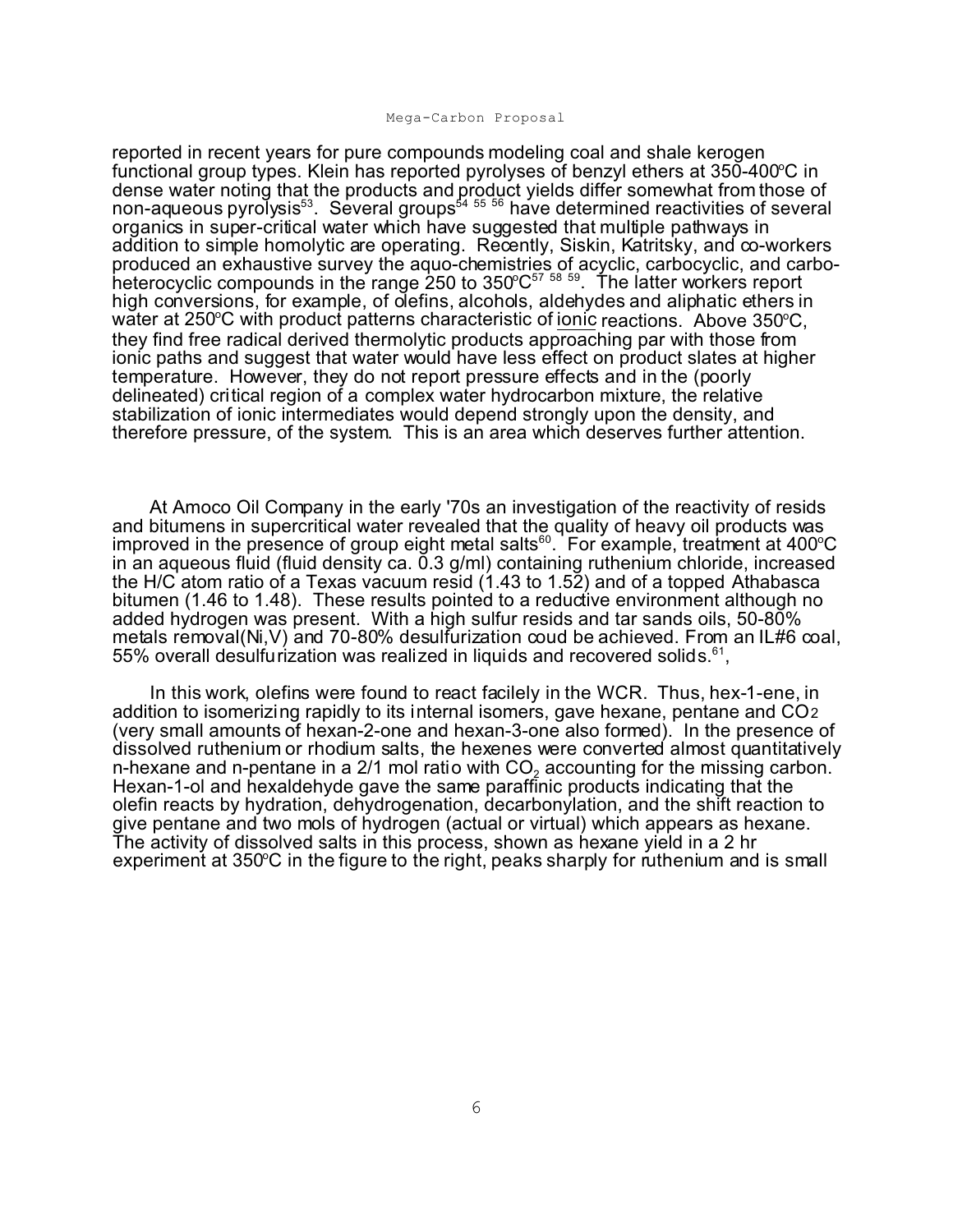reported in recent years for pure compounds modeling coal and shale kerogen functional group types. Klein has reported pyrolyses of benzyl ethers at  $350-400^{\circ}$ C in dense water noting that the products and product yields differ somewhat from those of non-aqueous pyrol̃ysis $^{\rm 53}$ . Several groups $^{\rm 54}$   $^{\rm 55}$  have determined reactivities of several organics in super-critical water which have suggested that multiple pathways in addition to simple homolytic are operating. Recently, Siskin, Katritsky, and co-workers produced an exhaustive survey the aquo-chemistries of acyclic, carbocyclic, and carboheterocyclic compounds in the range 250 to 350°C $^{\rm 57}$   $^{\rm 58}$   $^{\rm 59}$ . The latter workers report high conversions, for example, of olefins, alcohols, aldehydes and aliphatic ethers in water at  $250^{\circ}$ C with product patterns characteristic of ionic reactions. Above  $350^{\circ}$ C, they find free radical derived thermolytic products approaching par with those from ionic paths and suggest that water would have less effect on product slates at higher temperature. However, they do not report pressure effects and in the (poorly delineated) critical region of a complex water hydrocarbon mixture, the relative stabilization of ionic intermediates would depend strongly upon the density, and therefore pressure, of the system. This is an area which deserves further attention.

At Amoco Oil Company in the early '70s an investigation of the reactivity of resids and bitumens in supercritical water revealed that the quality of heavy oil products was improved in the presence of group eight metal salts<sup>60</sup>. For example, treatment at  $400^{\circ}$ C in an aqueous fluid (fluid density ca. 0.3 g/ml) containing ruthenium chloride, increased the H/C atom ratio of a Texas vacuum resid (1.43 to 1.52) and of a topped Athabasca bitumen (1.46 to 1.48). These results pointed to a reductive environment although no added hydrogen was present. With a high sulfur resids and tar sands oils, 50-80% metals removal(Ni,V) and 70-80% desulfurization coud be achieved. From an IL#6 coal, 55% overall desulfurization was realized in liquids and recovered solids. $61$ ,

In this work, olefins were found to react facilely in the WCR. Thus, hex-1-ene, in addition to isomerizing rapidly to its internal isomers, gave hexane, pentane and CO2 (very small amounts of hexan-2-one and hexan-3-one also formed). In the presence of dissolved ruthenium or rhodium salts, the hexenes were converted almost quantitatively n-hexane and n-pentane in a 2/1 mol ratio with  $CO<sub>2</sub>$  accounting for the missing carbon. Hexan-1-ol and hexaldehyde gave the same paraffinic products indicating that the olefin reacts by hydration, dehydrogenation, decarbonylation, and the shift reaction to give pentane and two mols of hydrogen (actual or virtual) which appears as hexane. The activity of dissolved salts in this process, shown as hexane yield in a 2 hr experiment at 350°C in the figure to the right, peaks sharply for ruthenium and is small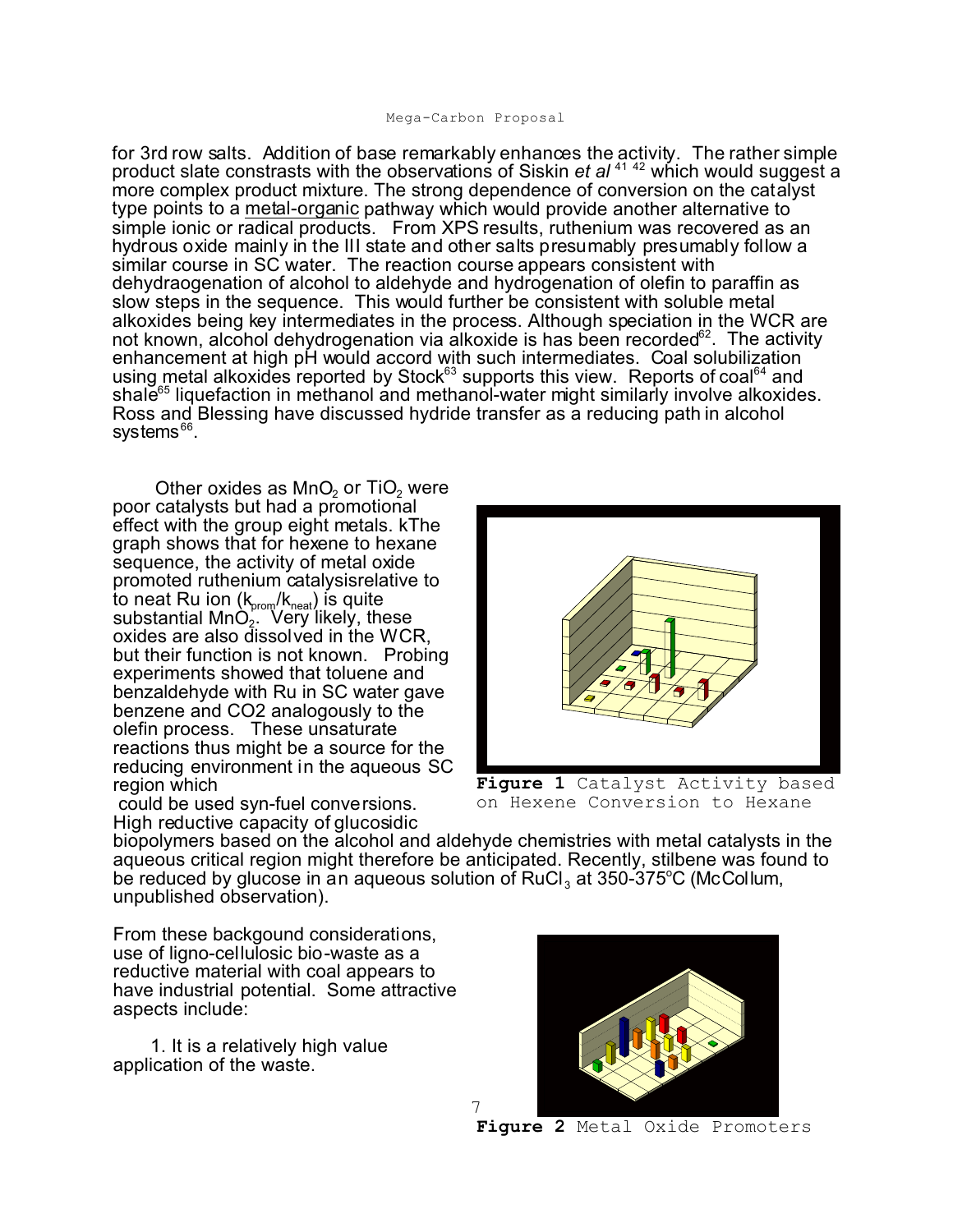for 3rd row salts. Addition of base remarkably enhances the activity. The rather simple product slate constrasts with the observations of Siskin *et al* <sup>41</sup> <sup>42</sup> which would suggest a more complex product mixture. The strong dependence of conversion on the catalyst type points to a metal-organic pathway which would provide another alternative to simple ionic or radical products. From XPS results, ruthenium was recovered as an hydrous oxide mainly in the III state and other salts presumably presumably follow a similar course in SC water. The reaction course appears consistent with dehydraogenation of alcohol to aldehyde and hydrogenation of olefin to paraffin as slow steps in the sequence. This would further be consistent with soluble metal alkoxides being key intermediates in the process. Although speciation in the WCR are not known, alcohol dehydrogenation via alkoxide is has been recorded $62$ . The activity enhancement at high pH would accord with such intermediates. Coal solubilization using metal alkoxides reported by Stock<sup>63</sup> supports this view. Reports of coal<sup>64</sup> and shale<sup>65</sup> liquefaction in methanol and methanol-water might similarly involve alkoxides. Ross and Blessing have discussed hydride transfer as a reducing path in alcohol systems<sup>66</sup>.

Other oxides as  $MnO<sub>2</sub>$  or TiO<sub>2</sub> were poor catalysts but had a promotional effect with the group eight metals. kThe graph shows that for hexene to hexane sequence, the activity of metal oxide promoted ruthenium catalysisrelative to to neat Ru ion  $(\sf k_{\sf prom}/\sf k_{\sf neat})$  is quite substantial MnO<sub>2</sub>. Very likely, these oxides are also dissolved in the WCR, but their function is not known. Probing experiments showed that toluene and benzaldehyde with Ru in SC water gave benzene and CO2 analogously to the olefin process. These unsaturate reactions thus might be a source for the reducing environment in the aqueous SC region which

 could be used syn-fuel conversions. High reductive capacity of glucosidic



**Figure 1** Catalyst Activity based on Hexene Conversion to Hexane

biopolymers based on the alcohol and aldehyde chemistries with metal catalysts in the aqueous critical region might therefore be anticipated. Recently, stilbene was found to be reduced by glucose in an aqueous solution of  $RuCl<sub>3</sub>$  at 350-375°C (McCollum, unpublished observation).

7

From these backgound considerations, use of ligno-cellulosic bio-waste as a reductive material with coal appears to have industrial potential. Some attractive aspects include:

1. It is a relatively high value application of the waste.



**Figure 2** Metal Oxide Promoters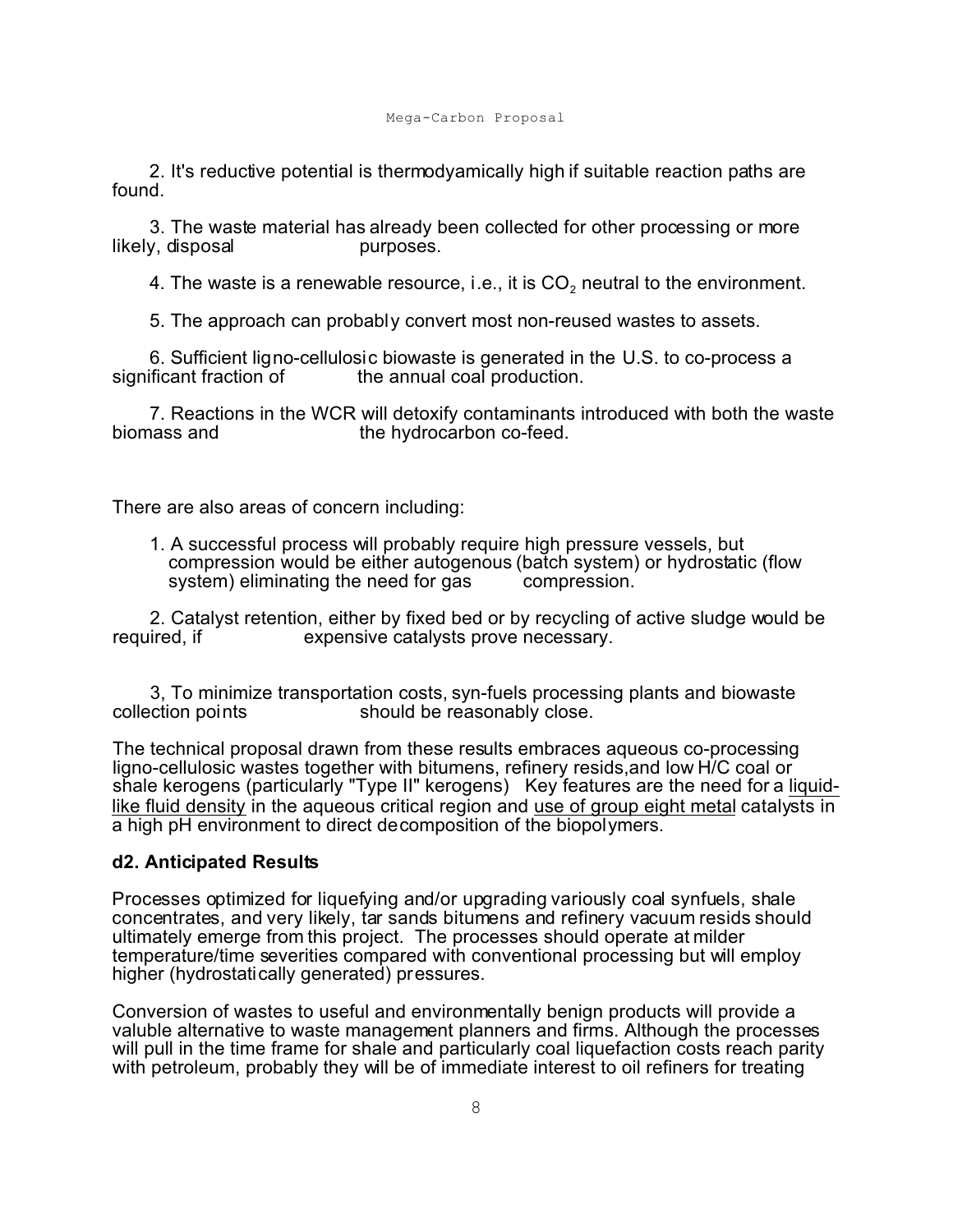2. It's reductive potential is thermodyamically high if suitable reaction paths are found.

 3. The waste material has already been collected for other processing or more likely, disposal burposes.

4. The waste is a renewable resource, i.e., it is CO $_2$  neutral to the environment.

5. The approach can probably convert most non-reused wastes to assets.

6. Sufficient ligno-cellulosic biowaste is generated in the U.S. to co-process a the annual coal production.

7. Reactions in the WCR will detoxify contaminants introduced with both the waste biomass and the hydrocarbon co-feed. the hydrocarbon co-feed.

There are also areas of concern including:

1. A successful process will probably require high pressure vessels, but compression would be either autogenous (batch system) or hydrostatic (flow<br>system) eliminating the need for gas compression. system) eliminating the need for gas

 2. Catalyst retention, either by fixed bed or by recycling of active sludge would be required, if expensive catalysts prove necessary.

3, To minimize transportation costs, syn-fuels processing plants and biowaste collection points should be reasonably close. should be reasonably close.

The technical proposal drawn from these results embraces aqueous co-processing ligno-cellulosic wastes together with bitumens, refinery resids,and low H/C coal or shale kerogens (particularly "Type II" kerogens) Key features are the need for a liquidlike fluid density in the aqueous critical region and use of group eight metal catalysts in a high pH environment to direct decomposition of the biopolymers.

#### **d2. Anticipated Results**

Processes optimized for liquefying and/or upgrading variously coal synfuels, shale concentrates, and very likely, tar sands bitumens and refinery vacuum resids should ultimately emerge from this project. The processes should operate at milder temperature/time severities compared with conventional processing but will employ higher (hydrostatically generated) pressures.

Conversion of wastes to useful and environmentally benign products will provide a valuble alternative to waste management planners and firms. Although the processes will pull in the time frame for shale and particularly coal liquefaction costs reach parity with petroleum, probably they will be of immediate interest to oil refiners for treating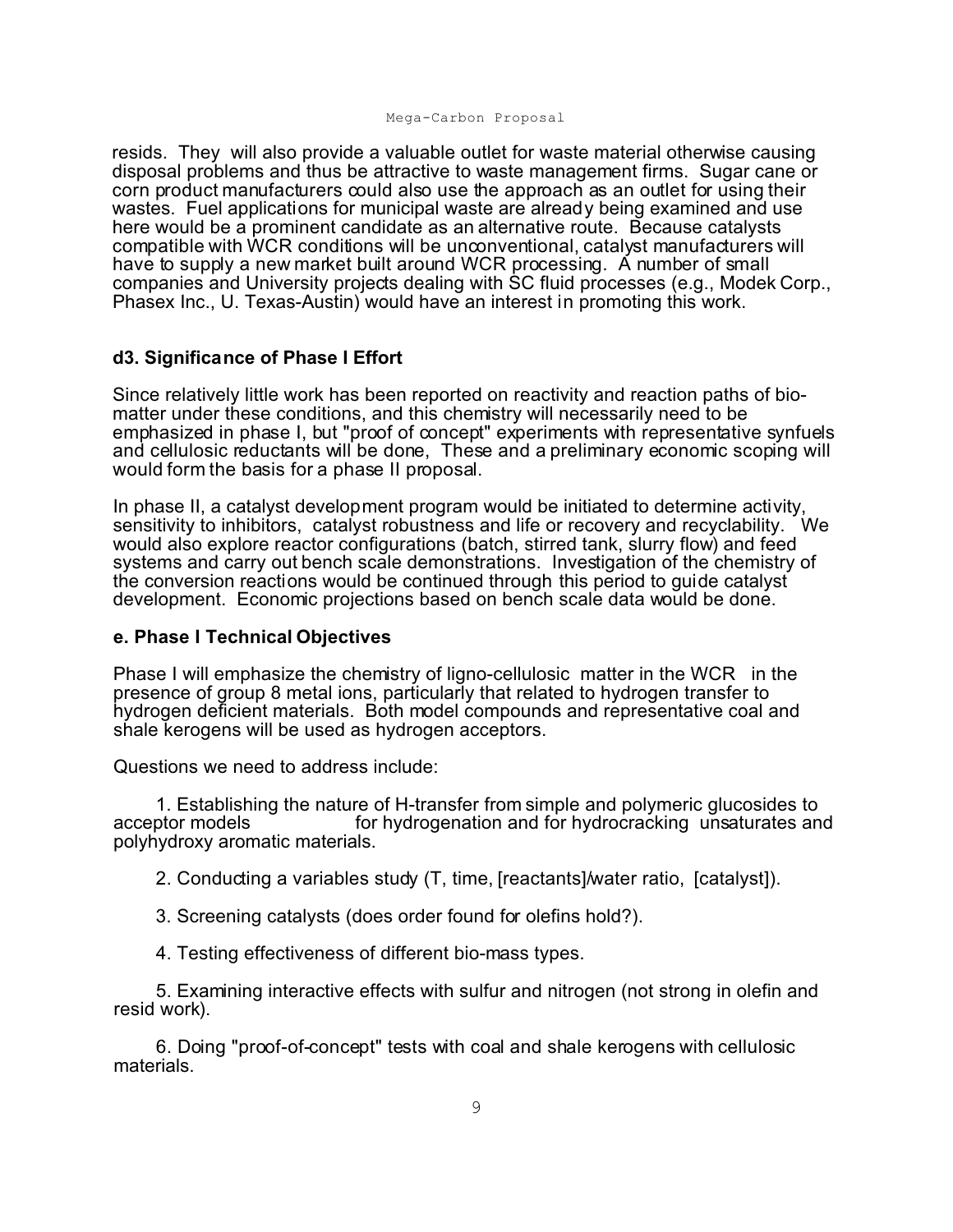resids. They will also provide a valuable outlet for waste material otherwise causing disposal problems and thus be attractive to waste management firms. Sugar cane or corn product manufacturers could also use the approach as an outlet for using their wastes. Fuel applications for municipal waste are already being examined and use here would be a prominent candidate as an alternative route. Because catalysts compatible with WCR conditions will be unconventional, catalyst manufacturers will have to supply a new market built around WCR processing. A number of small companies and University projects dealing with SC fluid processes (e.g., Modek Corp., Phasex Inc., U. Texas-Austin) would have an interest in promoting this work.

#### **d3. Significance of Phase I Effort**

Since relatively little work has been reported on reactivity and reaction paths of biomatter under these conditions, and this chemistry will necessarily need to be emphasized in phase I, but "proof of concept" experiments with representative synfuels and cellulosic reductants will be done, These and a preliminary economic scoping will would form the basis for a phase II proposal.

In phase II, a catalyst development program would be initiated to determine activity, sensitivity to inhibitors, catalyst robustness and life or recovery and recyclability. We would also explore reactor configurations (batch, stirred tank, slurry flow) and feed systems and carry out bench scale demonstrations. Investigation of the chemistry of the conversion reactions would be continued through this period to guide catalyst development. Economic projections based on bench scale data would be done.

#### **e. Phase I Technical Objectives**

Phase I will emphasize the chemistry of ligno-cellulosic matter in the WCR in the presence of group 8 metal ions, particularly that related to hydrogen transfer to hydrogen deficient materials. Both model compounds and representative coal and shale kerogens will be used as hydrogen acceptors.

Questions we need to address include:

1. Establishing the nature of H-transfer from simple and polymeric glucosides to<br>for hydrogenation and for hydrocracking unsaturates an for hydrogenation and for hydrocracking unsaturates and polyhydroxy aromatic materials.

2. Conducting a variables study (T, time, [reactants]/water ratio, [catalyst]).

- 3. Screening catalysts (does order found for olefins hold?).
- 4. Testing effectiveness of different bio-mass types.

 5. Examining interactive effects with sulfur and nitrogen (not strong in olefin and resid work).

 6. Doing "proof-of-concept" tests with coal and shale kerogens with cellulosic materials.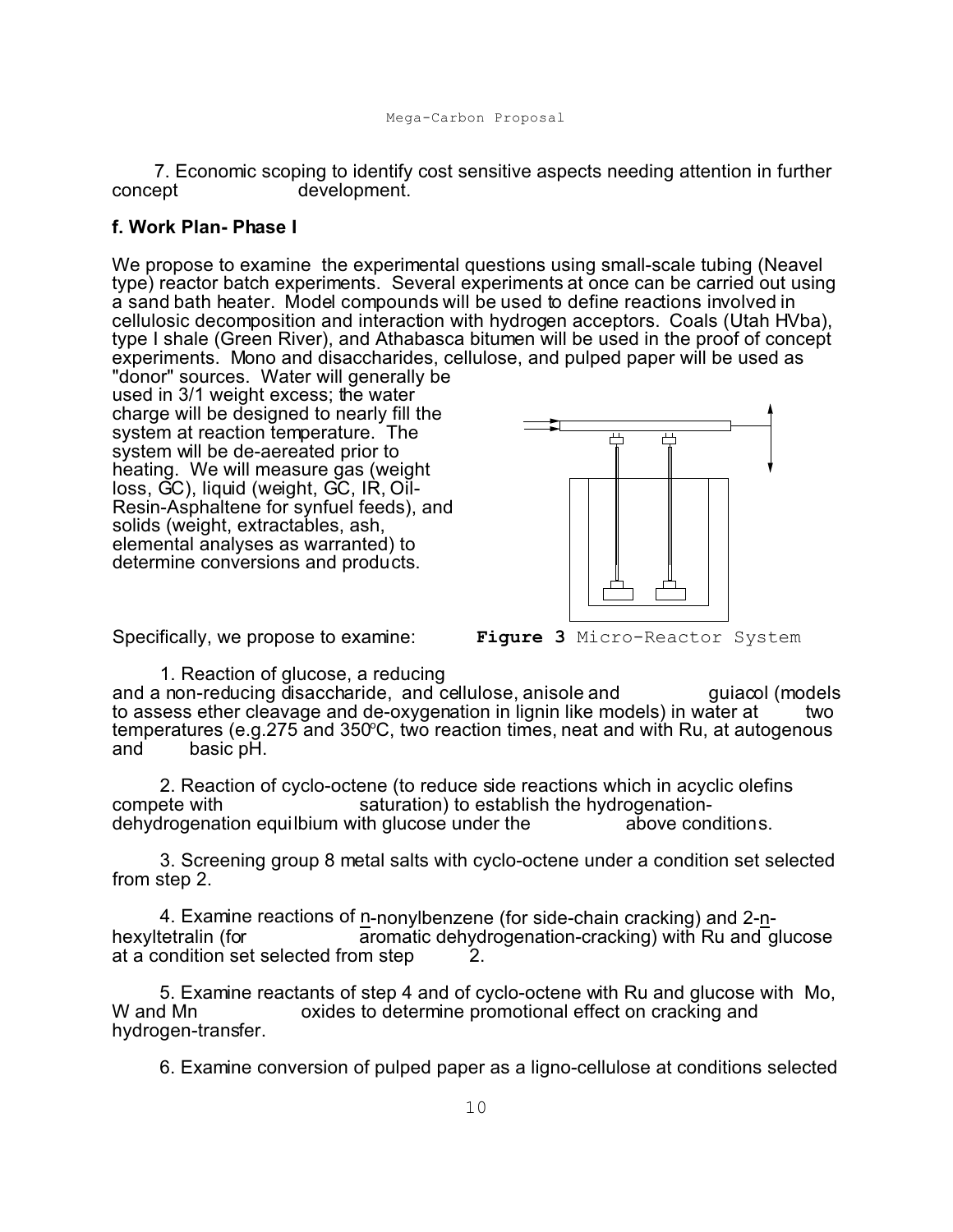7. Economic scoping to identify cost sensitive aspects needing attention in further concept development.

#### **f. Work Plan- Phase I**

We propose to examine the experimental questions using small-scale tubing (Neavel type) reactor batch experiments. Several experiments at once can be carried out using a sand bath heater. Model compounds will be used to define reactions involved in cellulosic decomposition and interaction with hydrogen acceptors. Coals (Utah HVba), type I shale (Green River), and Athabasca bitumen will be used in the proof of concept experiments. Mono and disaccharides, cellulose, and pulped paper will be used as

"donor" sources. Water will generally be used in 3/1 weight excess; the water charge will be designed to nearly fill the system at reaction temperature. The system will be de-aereated prior to heating. We will measure gas (weight loss, GC), liquid (weight, GC, IR, Oil-Resin-Asphaltene for synfuel feeds), and solids (weight, extractables, ash, elemental analyses as warranted) to determine conversions and products.



Specifically, we propose to examine:

**Figure 3** Micro-Reactor System

 1. Reaction of glucose, a reducing and a non-reducing disaccharide, and cellulose, anisole and guiacol (models to assess ether cleavage and de-oxygenation in lignin like models) in water at  $\sim$  two temperatures (e.g.275 and 350°C, two reaction times, neat and with Ru, at autogenous and  $\overline{a}$  basic pH. basic pH.

 2. Reaction of cyclo-octene (to reduce side reactions which in acyclic olefins compete with saturation) to establish the hydrogenation-<br>dehydrogenation equilbium with glucose under the above conditions. dehydrogenation equilbium with glucose under the

 3. Screening group 8 metal salts with cyclo-octene under a condition set selected from step 2.

4. Examine reactions of n-nonylbenzene (for side-chain cracking) and 2-n-<br>hexyltetralin (for aromatic dehydrogenation-cracking) with Ru and g aromatic dehydrogenation-cracking) with Ru and glucose at a condition set selected from step 2.

5. Examine reactants of step 4 and of cyclo-octene with Ru and glucose with Mo, W and Mn cacking and of currentine promotional effect on cracking and oxides to determine promotional effect on cracking and hydrogen-transfer.

6. Examine conversion of pulped paper as a ligno-cellulose at conditions selected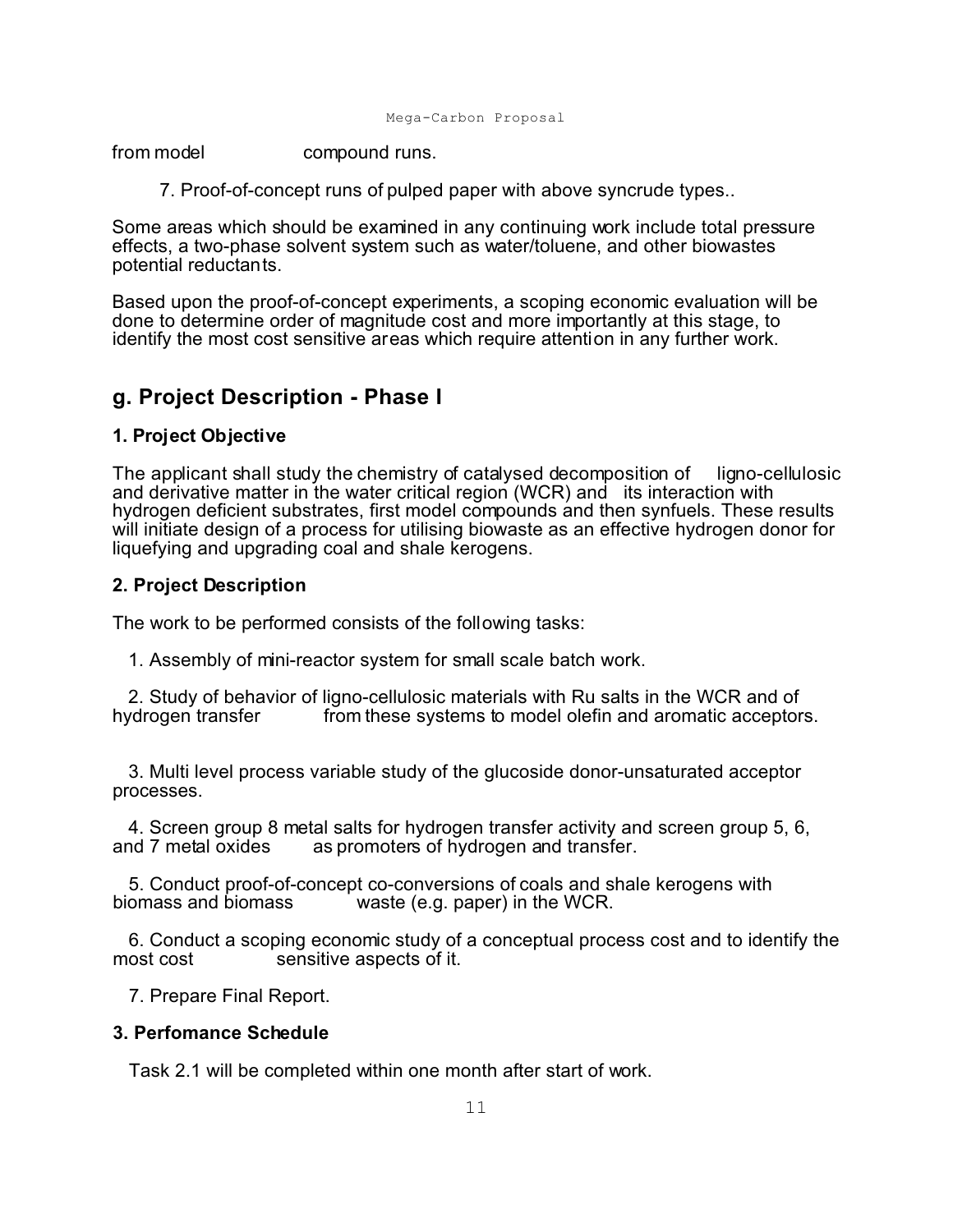```
Mega-Carbon Proposal
```
from model compound runs.

7. Proof-of-concept runs of pulped paper with above syncrude types..

Some areas which should be examined in any continuing work include total pressure effects, a two-phase solvent system such as water/toluene, and other biowastes potential reductants.

Based upon the proof-of-concept experiments, a scoping economic evaluation will be done to determine order of magnitude cost and more importantly at this stage, to identify the most cost sensitive areas which require attention in any further work.

# **g. Project Description - Phase I**

## **1. Project Objective**

The applicant shall study the chemistry of catalysed decomposition of ligno-cellulosic and derivative matter in the water critical region (WCR) and its interaction with hydrogen deficient substrates, first model compounds and then synfuels. These results will initiate design of a process for utilising biowaste as an effective hydrogen donor for liquefying and upgrading coal and shale kerogens.

## **2. Project Description**

The work to be performed consists of the following tasks:

1. Assembly of mini-reactor system for small scale batch work.

2. Study of behavior of ligno-cellulosic materials with Ru salts in the WCR and of hydrogen transfer from these systems to model olefin and aromatic acceptor from these systems to model olefin and aromatic acceptors.

 3. Multi level process variable study of the glucoside donor-unsaturated acceptor processes.

4. Screen group 8 metal salts for hydrogen transfer activity and screen group 5, 6, and 7 metal oxides as promoters of hydrogen and transfer. as promoters of hydrogen and transfer.

5. Conduct proof-of-concept co-conversions of coals and shale kerogens with biomass and biomass waste (e.g. paper) in the WCR. waste (e.g. paper) in the WCR.

 6. Conduct a scoping economic study of a conceptual process cost and to identify the sensitive aspects of it.

7. Prepare Final Report.

## **3. Perfomance Schedule**

Task 2.1 will be completed within one month after start of work.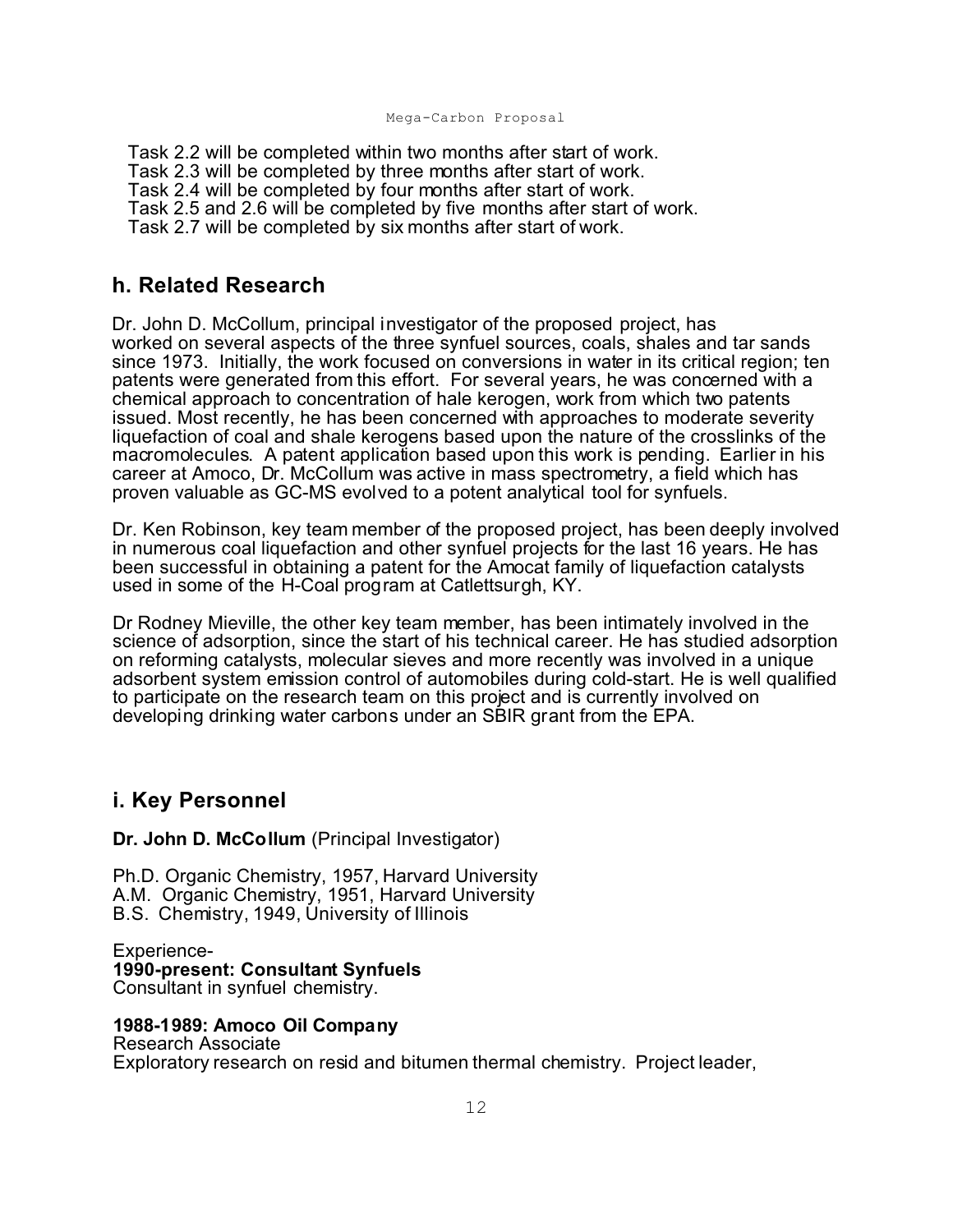Task 2.2 will be completed within two months after start of work. Task 2.3 will be completed by three months after start of work. Task 2.4 will be completed by four months after start of work. Task 2.5 and 2.6 will be completed by five months after start of work. Task 2.7 will be completed by six months after start of work.

## **h. Related Research**

Dr. John D. McCollum, principal investigator of the proposed project, has worked on several aspects of the three synfuel sources, coals, shales and tar sands since 1973. Initially, the work focused on conversions in water in its critical region; ten patents were generated from this effort. For several years, he was concerned with a chemical approach to concentration of hale kerogen, work from which two patents issued. Most recently, he has been concerned with approaches to moderate severity liquefaction of coal and shale kerogens based upon the nature of the crosslinks of the macromolecules. A patent application based upon this work is pending. Earlier in his career at Amoco, Dr. McCollum was active in mass spectrometry, a field which has proven valuable as GC-MS evolved to a potent analytical tool for synfuels.

Dr. Ken Robinson, key team member of the proposed project, has been deeply involved in numerous coal liquefaction and other synfuel projects for the last 16 years. He has been successful in obtaining a patent for the Amocat family of liquefaction catalysts used in some of the H-Coal program at Catlettsurgh, KY.

Dr Rodney Mieville, the other key team member, has been intimately involved in the science of adsorption, since the start of his technical career. He has studied adsorption on reforming catalysts, molecular sieves and more recently was involved in a unique adsorbent system emission control of automobiles during cold-start. He is well qualified to participate on the research team on this project and is currently involved on developing drinking water carbons under an SBIR grant from the EPA.

## **i. Key Personnel**

**Dr. John D. McCollum** (Principal Investigator)

Ph.D. Organic Chemistry, 1957, Harvard University A.M. Organic Chemistry, 1951, Harvard University B.S. Chemistry, 1949, University of Illinois

Experience-**1990-present: Consultant Synfuels** Consultant in synfuel chemistry.

#### **1988-1989: Amoco Oil Company**

Research Associate Exploratory research on resid and bitumen thermal chemistry. Project leader,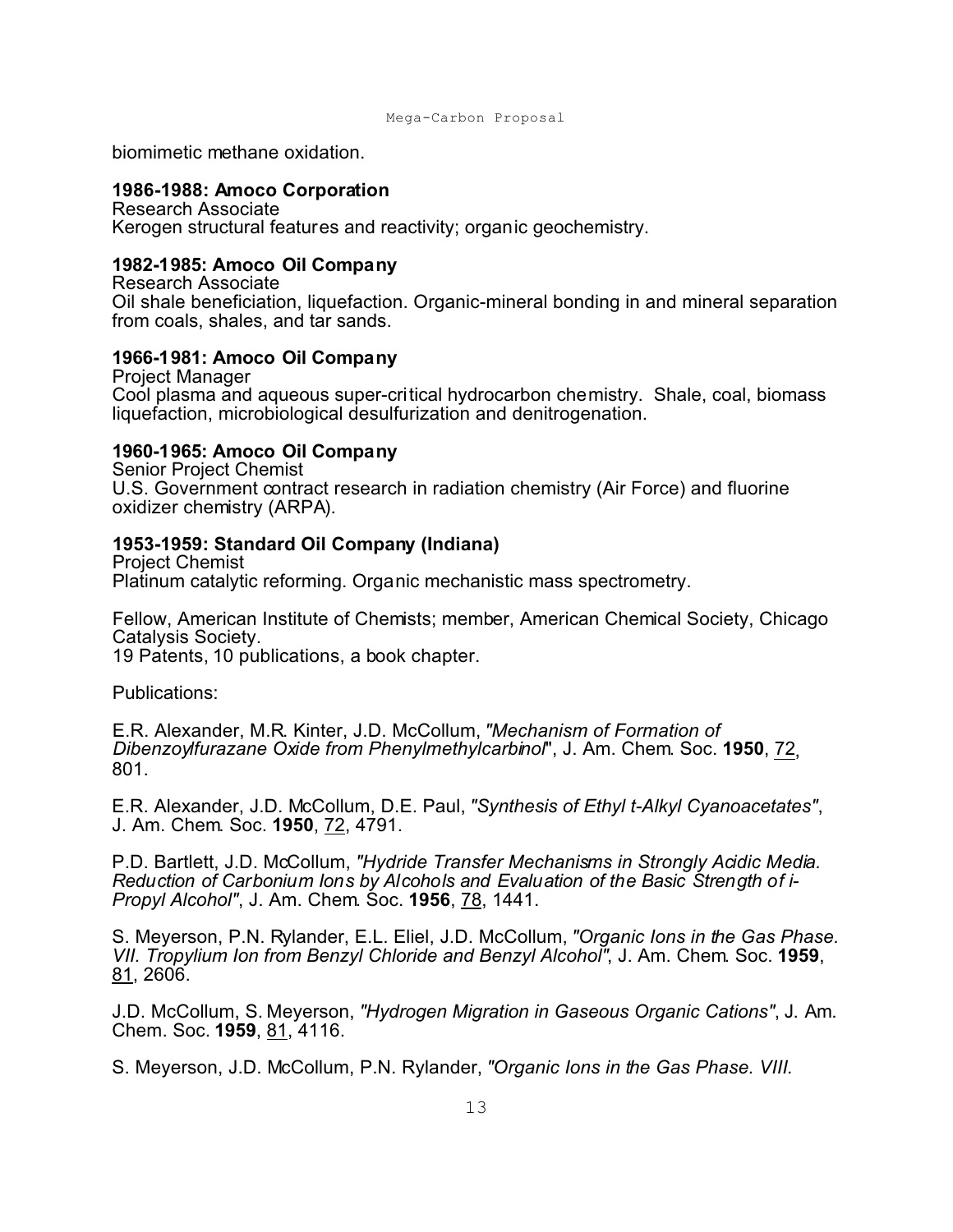```
Mega-Carbon Proposal
```
biomimetic methane oxidation.

### **1986-1988: Amoco Corporation**

Research Associate Kerogen structural features and reactivity; organic geochemistry.

### **1982-1985: Amoco Oil Company**

Research Associate Oil shale beneficiation, liquefaction. Organic-mineral bonding in and mineral separation from coals, shales, and tar sands.

### **1966-1981: Amoco Oil Company**

Project Manager Cool plasma and aqueous super-critical hydrocarbon chemistry. Shale, coal, biomass liquefaction, microbiological desulfurization and denitrogenation.

### **1960-1965: Amoco Oil Company**

Senior Project Chemist U.S. Government contract research in radiation chemistry (Air Force) and fluorine oxidizer chemistry (ARPA).

### **1953-1959: Standard Oil Company (Indiana)**

Project Chemist Platinum catalytic reforming. Organic mechanistic mass spectrometry.

Fellow, American Institute of Chemists; member, American Chemical Society, Chicago Catalysis Society.

19 Patents, 10 publications, a book chapter.

Publications:

E.R. Alexander, M.R. Kinter, J.D. McCollum, *"Mechanism of Formation of Dibenzoylfurazane Oxide from Phenylmethylcarbinol*", J. Am. Chem. Soc. **1950**, 72, 801.

E.R. Alexander, J.D. McCollum, D.E. Paul, *"Synthesis of Ethyl t-Alkyl Cyanoacetates"*, J. Am. Chem. Soc. **1950**, 72, 4791.

P.D. Bartlett, J.D. McCollum, *"Hydride Transfer Mechanisms in Strongly Acidic Media. Reduction of Carbonium Ions by Alcohols and Evaluation of the Basic Strength of i-Propyl Alcohol"*, J. Am. Chem. Soc. **1956**, 78, 1441.

S. Meyerson, P.N. Rylander, E.L. Eliel, J.D. McCollum, *"Organic Ions in the Gas Phase. VII. Tropylium Ion from Benzyl Chloride and Benzyl Alcohol"*, J. Am. Chem. Soc. **1959**, 81, 2606.

J.D. McCollum, S. Meyerson, *"Hydrogen Migration in Gaseous Organic Cations"*, J. Am. Chem. Soc. **1959**, 81, 4116.

S. Meyerson, J.D. McCollum, P.N. Rylander, *"Organic Ions in the Gas Phase. VIII.*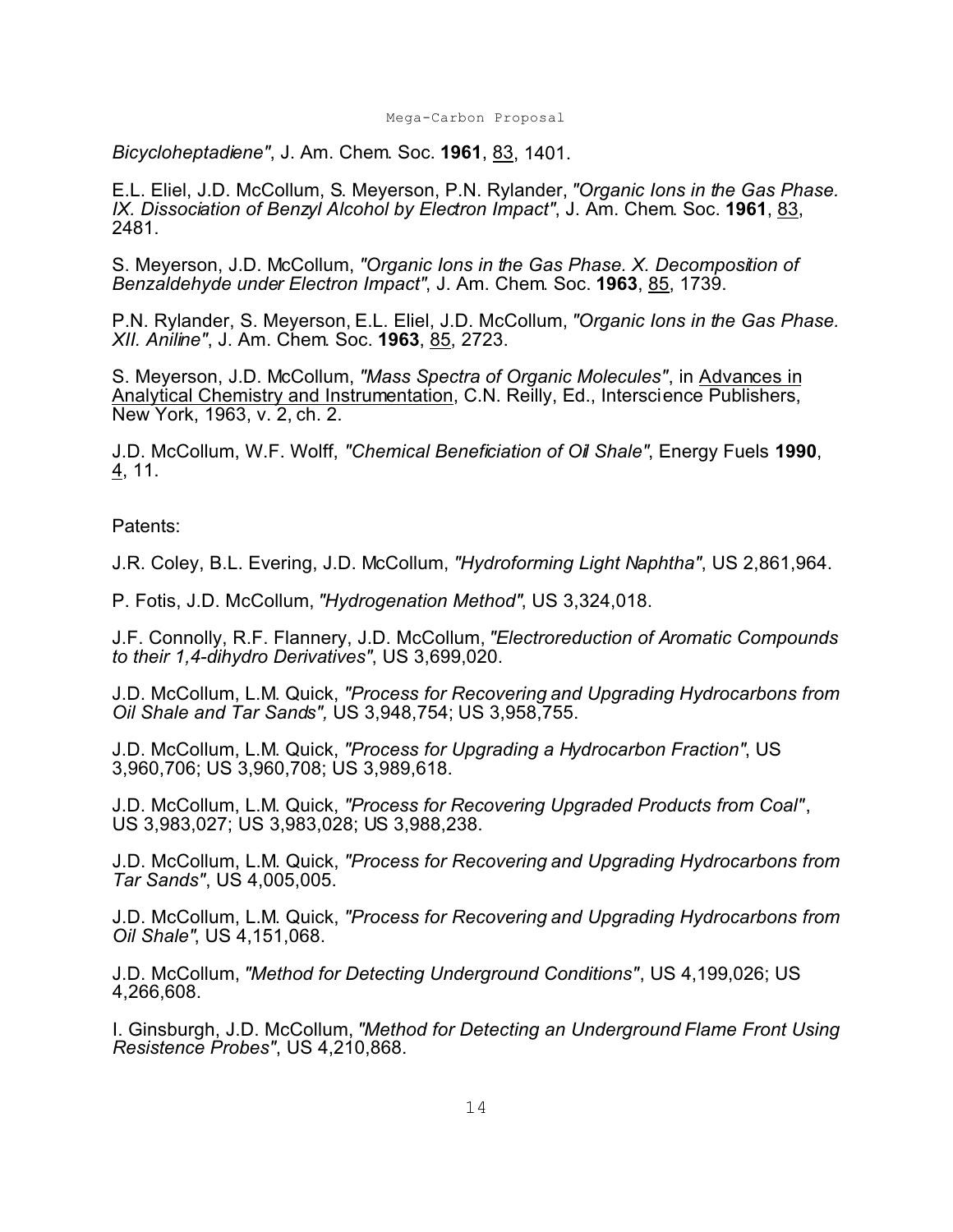*Bicycloheptadiene"*, J. Am. Chem. Soc. **1961**, 83, 1401.

E.L. Eliel, J.D. McCollum, S. Meyerson, P.N. Rylander, *"Organic Ions in the Gas Phase. IX. Dissociation of Benzyl Alcohol by Electron Impact"*, J. Am. Chem. Soc. **1961**, 83, 2481.

S. Meyerson, J.D. McCollum, *"Organic Ions in the Gas Phase. X. Decomposition of Benzaldehyde under Electron Impact"*, J. Am. Chem. Soc. **1963**, 85, 1739.

P.N. Rylander, S. Meyerson, E.L. Eliel, J.D. McCollum, *"Organic Ions in the Gas Phase. XII. Aniline"*, J. Am. Chem. Soc. **1963**, 85, 2723.

S. Meyerson, J.D. McCollum, *"Mass Spectra of Organic Molecules"*, in Advances in Analytical Chemistry and Instrumentation, C.N. Reilly, Ed., Interscience Publishers, New York, 1963, v. 2, ch. 2.

J.D. McCollum, W.F. Wolff, *"Chemical Beneficiation of Oil Shale"*, Energy Fuels **1990**, 4, 11.

Patents:

J.R. Coley, B.L. Evering, J.D. McCollum, *"Hydroforming Light Naphtha"*, US 2,861,964.

P. Fotis, J.D. McCollum, *"Hydrogenation Method"*, US 3,324,018.

J.F. Connolly, R.F. Flannery, J.D. McCollum, *"Electroreduction of Aromatic Compounds to their 1,4-dihydro Derivatives"*, US 3,699,020.

J.D. McCollum, L.M. Quick, *"Process for Recovering and Upgrading Hydrocarbons from Oil Shale and Tar Sands",* US 3,948,754; US 3,958,755.

J.D. McCollum, L.M. Quick, *"Process for Upgrading a Hydrocarbon Fraction"*, US 3,960,706; US 3,960,708; US 3,989,618.

J.D. McCollum, L.M. Quick, *"Process for Recovering Upgraded Products from Coal"*, US 3,983,027; US 3,983,028; US 3,988,238.

J.D. McCollum, L.M. Quick, *"Process for Recovering and Upgrading Hydrocarbons from Tar Sands"*, US 4,005,005.

J.D. McCollum, L.M. Quick, *"Process for Recovering and Upgrading Hydrocarbons from Oil Shale"*, US 4,151,068.

J.D. McCollum, *"Method for Detecting Underground Conditions"*, US 4,199,026; US 4,266,608.

I. Ginsburgh, J.D. McCollum, *"Method for Detecting an Underground Flame Front Using Resistence Probes"*, US 4,210,868.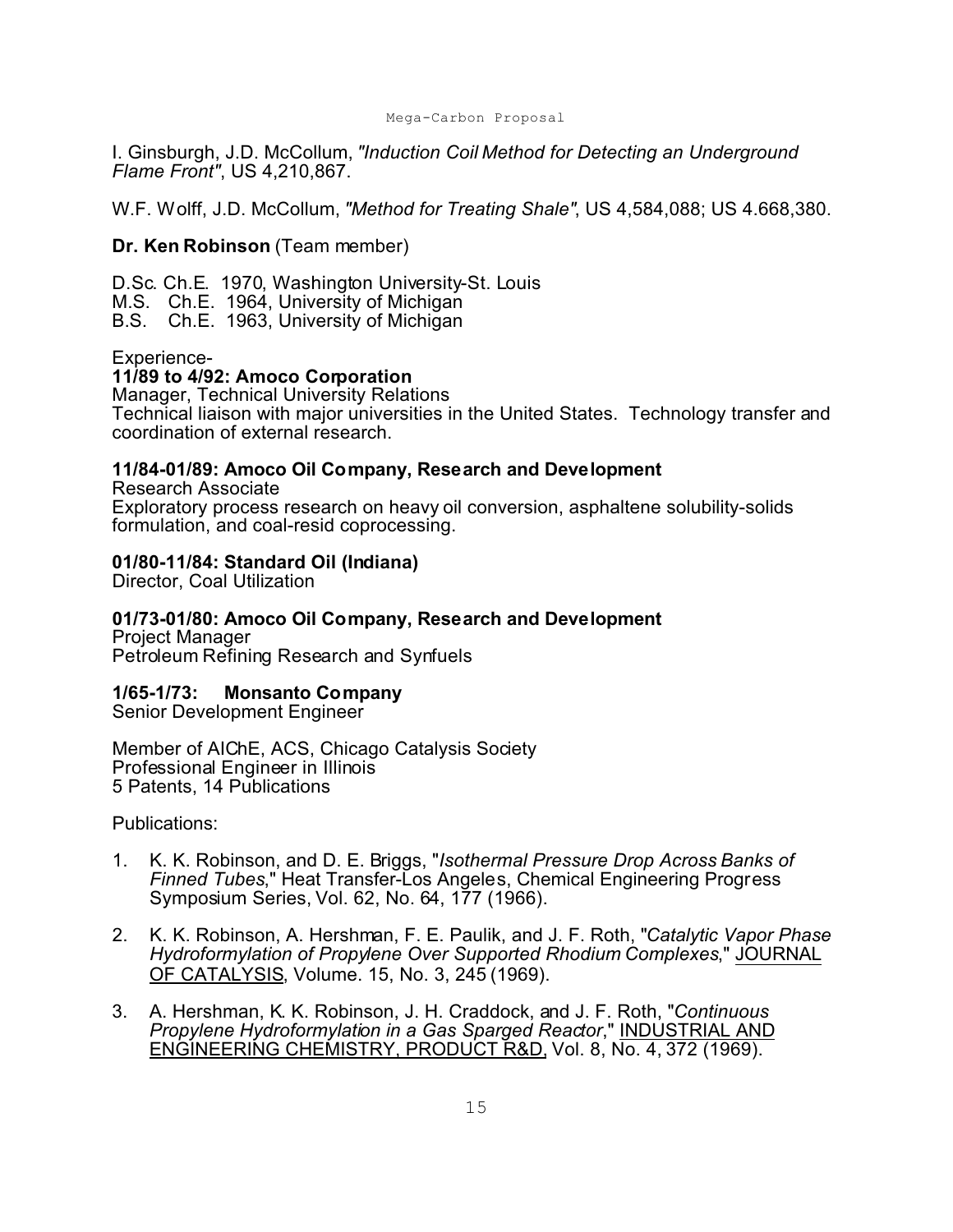I. Ginsburgh, J.D. McCollum, *"Induction Coil Method for Detecting an Underground Flame Front"*, US 4,210,867.

W.F. Wolff, J.D. McCollum, *"Method for Treating Shale"*, US 4,584,088; US 4.668,380.

#### **Dr. Ken Robinson** (Team member)

D.Sc. Ch.E. 1970, Washington University-St. Louis

- M.S. Ch.E. 1964, University of Michigan
- B.S. Ch.E. 1963, University of Michigan

#### Experience-

#### **11/89 to 4/92: Amoco Corporation**

Manager, Technical University Relations Technical liaison with major universities in the United States. Technology transfer and coordination of external research.

#### **11/84-01/89: Amoco Oil Company, Research and Development**

Research Associate Exploratory process research on heavy oil conversion, asphaltene solubility-solids formulation, and coal-resid coprocessing.

#### **01/80-11/84: Standard Oil (Indiana)**

Director, Coal Utilization

## **01/73-01/80: Amoco Oil Company, Research and Development**

Project Manager Petroleum Refining Research and Synfuels

#### **1/65-1/73: Monsanto Company**

Senior Development Engineer

Member of AIChE, ACS, Chicago Catalysis Society Professional Engineer in Illinois 5 Patents, 14 Publications

Publications:

- 1. K. K. Robinson, and D. E. Briggs, "*Isothermal Pressure Drop Across Banks of Finned Tubes*," Heat Transfer-Los Angeles, Chemical Engineering Progress Symposium Series, Vol. 62, No. 64, 177 (1966).
- 2. K. K. Robinson, A. Hershman, F. E. Paulik, and J. F. Roth, "*Catalytic Vapor Phase Hydroformylation of Propylene Over Supported Rhodium Complexes*," JOURNAL OF CATALYSIS, Volume. 15, No. 3, 245 (1969).
- 3. A. Hershman, K. K. Robinson, J. H. Craddock, and J. F. Roth, "*Continuous Propylene Hydroformylation in a Gas Sparged Reactor*," INDUSTRIAL AND ENGINEERING CHEMISTRY, PRODUCT R&D, Vol. 8, No. 4, 372 (1969).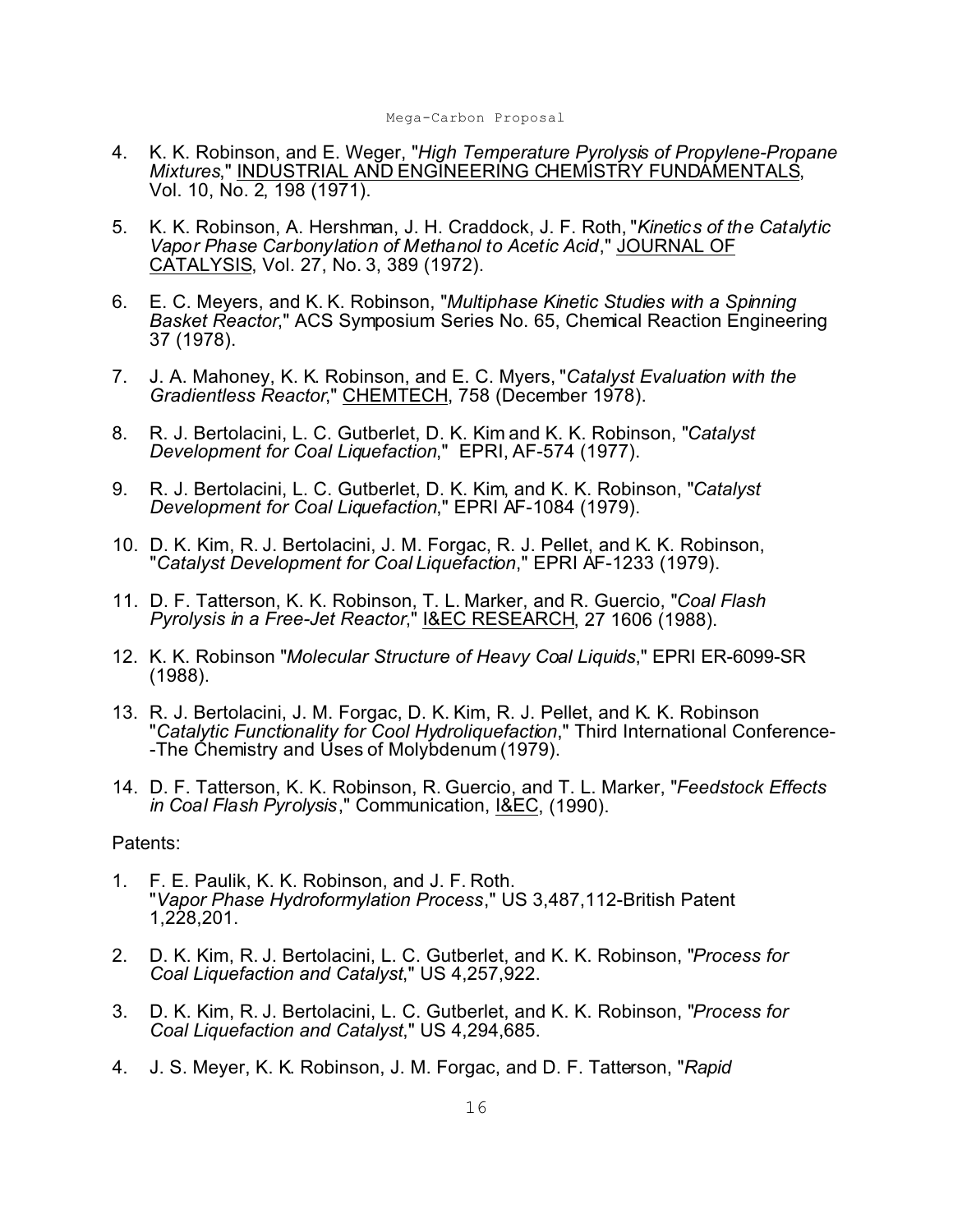- 4. K. K. Robinson, and E. Weger, "*High Temperature Pyrolysis of Propylene-Propane Mixtures*," INDUSTRIAL AND ENGINEERING CHEMISTRY FUNDAMENTALS, Vol. 10, No. 2, 198 (1971).
- 5. K. K. Robinson, A. Hershman, J. H. Craddock, J. F. Roth, "*Kinetics of the Catalytic Vapor Phase Carbonylation of Methanol to Acetic Acid*," JOURNAL OF CATALYSIS, Vol. 27, No. 3, 389 (1972).
- 6. E. C. Meyers, and K. K. Robinson, "*Multiphase Kinetic Studies with a Spinning Basket Reactor*," ACS Symposium Series No. 65, Chemical Reaction Engineering 37 (1978).
- 7. J. A. Mahoney, K. K. Robinson, and E. C. Myers, "*Catalyst Evaluation with the Gradientless Reactor*," CHEMTECH, 758 (December 1978).
- 8. R. J. Bertolacini, L. C. Gutberlet, D. K. Kim and K. K. Robinson, "*Catalyst Development for Coal Liquefaction*," EPRI, AF-574 (1977).
- 9. R. J. Bertolacini, L. C. Gutberlet, D. K. Kim, and K. K. Robinson, "*Catalyst Development for Coal Liquefaction*," EPRI AF-1084 (1979).
- 10. D. K. Kim, R. J. Bertolacini, J. M. Forgac, R. J. Pellet, and K. K. Robinson, "*Catalyst Development for Coal Liquefaction*," EPRI AF-1233 (1979).
- 11. D. F. Tatterson, K. K. Robinson, T. L. Marker, and R. Guercio, "*Coal Flash Pyrolysis in a Free-Jet Reactor*," I&EC RESEARCH, 27 1606 (1988).
- 12. K. K. Robinson "*Molecular Structure of Heavy Coal Liquids*," EPRI ER-6099-SR (1988).
- 13. R. J. Bertolacini, J. M. Forgac, D. K. Kim, R. J. Pellet, and K. K. Robinson "*Catalytic Functionality for Cool Hydroliquefaction*," Third International Conference- -The Chemistry and Uses of Molybdenum (1979).
- 14. D. F. Tatterson, K. K. Robinson, R. Guercio, and T. L. Marker, "*Feedstock Effects in Coal Flash Pyrolysis*," Communication, I&EC, (1990).

#### Patents:

- 1. F. E. Paulik, K. K. Robinson, and J. F. Roth. "*Vapor Phase Hydroformylation Process*," US 3,487,112-British Patent 1,228,201.
- 2. D. K. Kim, R. J. Bertolacini, L. C. Gutberlet, and K. K. Robinson, "*Process for Coal Liquefaction and Catalyst*," US 4,257,922.
- 3. D. K. Kim, R. J. Bertolacini, L. C. Gutberlet, and K. K. Robinson, "*Process for Coal Liquefaction and Catalyst*," US 4,294,685.
- 4. J. S. Meyer, K. K. Robinson, J. M. Forgac, and D. F. Tatterson, "*Rapid*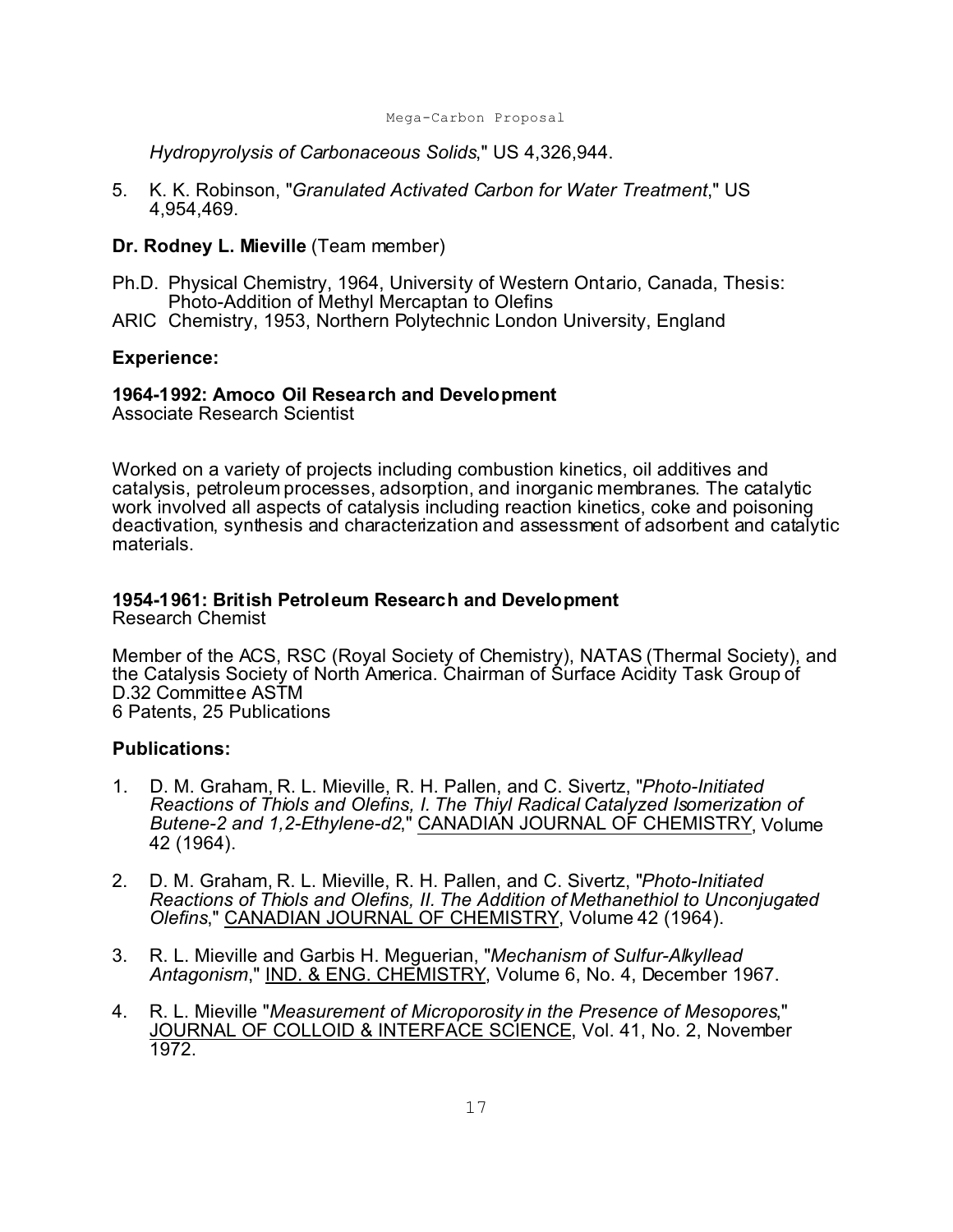*Hydropyrolysis of Carbonaceous Solids*," US 4,326,944.

5. K. K. Robinson, "*Granulated Activated Carbon for Water Treatment*," US 4,954,469.

#### **Dr. Rodney L. Mieville** (Team member)

- Ph.D. Physical Chemistry, 1964, University of Western Ontario, Canada, Thesis: Photo-Addition of Methyl Mercaptan to Olefins
- ARIC Chemistry, 1953, Northern Polytechnic London University, England

#### **Experience:**

#### **1964-1992: Amoco Oil Research and Development**

Associate Research Scientist

Worked on a variety of projects including combustion kinetics, oil additives and catalysis, petroleum processes, adsorption, and inorganic membranes. The catalytic work involved all aspects of catalysis including reaction kinetics, coke and poisoning deactivation, synthesis and characterization and assessment of adsorbent and catalytic materials.

# **1954-1961: British Petroleum Research and Development**

Research Chemist

Member of the ACS, RSC (Royal Society of Chemistry), NATAS (Thermal Society), and the Catalysis Society of North America. Chairman of Surface Acidity Task Group of D.32 Committee ASTM 6 Patents, 25 Publications

#### **Publications:**

- 1. D. M. Graham, R. L. Mieville, R. H. Pallen, and C. Sivertz, "*Photo-Initiated Reactions of Thiols and Olefins, I. The Thiyl Radical Catalyzed Isomerization of Butene-2 and 1,2-Ethylene-d2*," CANADIAN JOURNAL OF CHEMISTRY, Volume 42 (1964).
- 2. D. M. Graham, R. L. Mieville, R. H. Pallen, and C. Sivertz, "*Photo-Initiated Reactions of Thiols and Olefins, II. The Addition of Methanethiol to Unconjugated Olefins*," CANADIAN JOURNAL OF CHEMISTRY, Volume 42 (1964).
- 3. R. L. Mieville and Garbis H. Meguerian, "*Mechanism of Sulfur-Alkyllead Antagonism*," IND. & ENG. CHEMISTRY, Volume 6, No. 4, December 1967.
- 4. R. L. Mieville "*Measurement of Microporosity in the Presence of Mesopores*," JOURNAL OF COLLOID & INTERFACE SCIENCE, Vol. 41, No. 2, November 1972.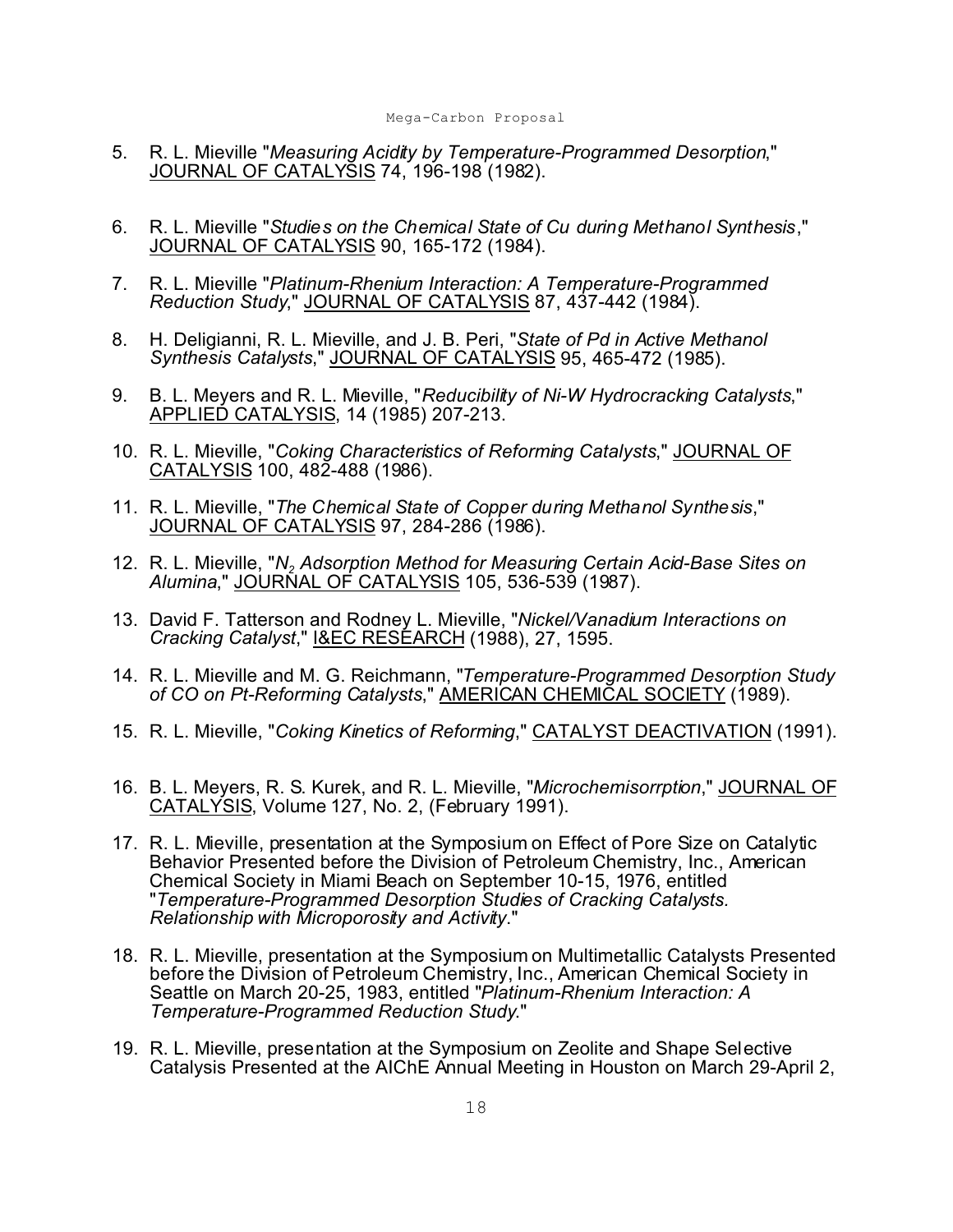- 5. R. L. Mieville "*Measuring Acidity by Temperature-Programmed Desorption*," JOURNAL OF CATALYSIS 74, 196-198 (1982).
- 6. R. L. Mieville "*Studies on the Chemical State of Cu during Methanol Synthesis*," JOURNAL OF CATALYSIS 90, 165-172 (1984).
- 7. R. L. Mieville "*Platinum-Rhenium Interaction: A Temperature-Programmed Reduction Study*," JOURNAL OF CATALYSIS 87, 437-442 (1984).
- 8. H. Deligianni, R. L. Mieville, and J. B. Peri, "*State of Pd in Active Methanol Synthesis Catalysts*," JOURNAL OF CATALYSIS 95, 465-472 (1985).
- 9. B. L. Meyers and R. L. Mieville, "*Reducibility of Ni-W Hydrocracking Catalysts*," APPLIED CATALYSIS, 14 (1985) 207-213.
- 10. R. L. Mieville, "*Coking Characteristics of Reforming Catalysts*," JOURNAL OF CATALYSIS 100, 482-488 (1986).
- 11. R. L. Mieville, "*The Chemical State of Copper during Methanol Synthesis*," JOURNAL OF CATALYSIS 97, 284-286 (1986).
- 12. R. L. Mieville, "*N<sup>2</sup> Adsorption Method for Measuring Certain Acid-Base Sites on Alumina*," JOURNAL OF CATALYSIS 105, 536-539 (1987).
- 13. David F. Tatterson and Rodney L. Mieville, "*Nickel/Vanadium Interactions on Cracking Catalyst*," I&EC RESEARCH (1988), 27, 1595.
- 14. R. L. Mieville and M. G. Reichmann, "*Temperature-Programmed Desorption Study of CO on Pt-Reforming Catalysts*," AMERICAN CHEMICAL SOCIETY (1989).
- 15. R. L. Mieville, "*Coking Kinetics of Reforming*," CATALYST DEACTIVATION (1991).
- 16. B. L. Meyers, R. S. Kurek, and R. L. Mieville, "*Microchemisorrption*," JOURNAL OF CATALYSIS, Volume 127, No. 2, (February 1991).
- 17. R. L. Mieville, presentation at the Symposium on Effect of Pore Size on Catalytic Behavior Presented before the Division of Petroleum Chemistry, Inc., American Chemical Society in Miami Beach on September 10-15, 1976, entitled "*Temperature-Programmed Desorption Studies of Cracking Catalysts. Relationship with Microporosity and Activity*."
- 18. R. L. Mieville, presentation at the Symposium on Multimetallic Catalysts Presented before the Division of Petroleum Chemistry, Inc., American Chemical Society in Seattle on March 20-25, 1983, entitled "*Platinum-Rhenium Interaction: A Temperature-Programmed Reduction Study*."
- 19. R. L. Mieville, presentation at the Symposium on Zeolite and Shape Selective Catalysis Presented at the AIChE Annual Meeting in Houston on March 29-April 2,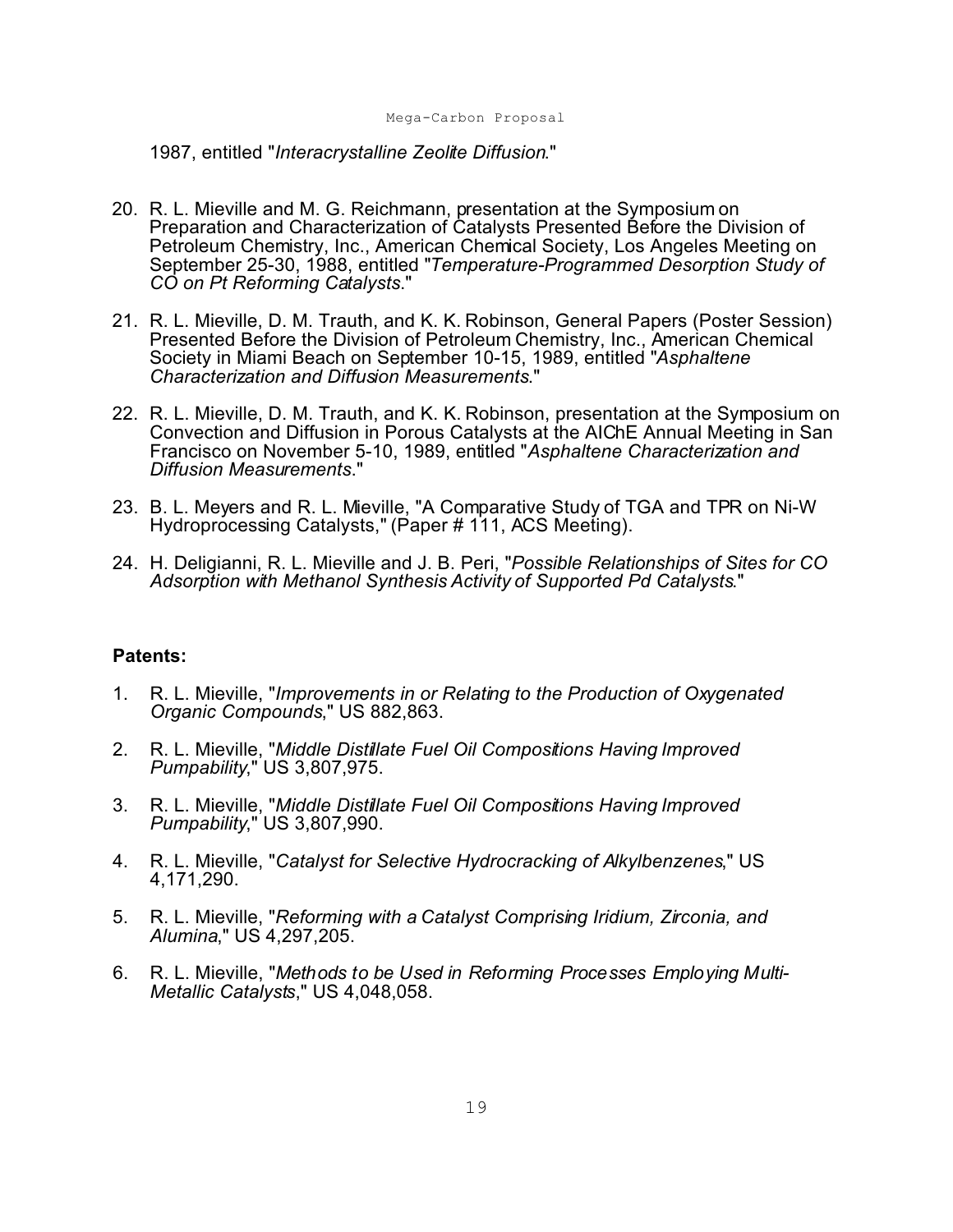1987, entitled "*Interacrystalline Zeolite Diffusion*."

- 20. R. L. Mieville and M. G. Reichmann, presentation at the Symposium on Preparation and Characterization of Catalysts Presented Before the Division of Petroleum Chemistry, Inc., American Chemical Society, Los Angeles Meeting on September 25-30, 1988, entitled "*Temperature-Programmed Desorption Study of CO on Pt Reforming Catalysts*."
- 21. R. L. Mieville, D. M. Trauth, and K. K. Robinson, General Papers (Poster Session) Presented Before the Division of Petroleum Chemistry, Inc., American Chemical Society in Miami Beach on September 10-15, 1989, entitled "*Asphaltene Characterization and Diffusion Measurements*."
- 22. R. L. Mieville, D. M. Trauth, and K. K. Robinson, presentation at the Symposium on Convection and Diffusion in Porous Catalysts at the AIChE Annual Meeting in San Francisco on November 5-10, 1989, entitled "*Asphaltene Characterization and Diffusion Measurements*."
- 23. B. L. Meyers and R. L. Mieville, "A Comparative Study of TGA and TPR on Ni-W Hydroprocessing Catalysts," (Paper # 111, ACS Meeting).
- 24. H. Deligianni, R. L. Mieville and J. B. Peri, "*Possible Relationships of Sites for CO Adsorption with Methanol Synthesis Activity of Supported Pd Catalysts*."

#### **Patents:**

- 1. R. L. Mieville, "*Improvements in or Relating to the Production of Oxygenated Organic Compounds*," US 882,863.
- 2. R. L. Mieville, "*Middle Distillate Fuel Oil Compositions Having Improved Pumpability*," US 3,807,975.
- 3. R. L. Mieville, "*Middle Distillate Fuel Oil Compositions Having Improved Pumpability*," US 3,807,990.
- 4. R. L. Mieville, "*Catalyst for Selective Hydrocracking of Alkylbenzenes*," US 4,171,290.
- 5. R. L. Mieville, "*Reforming with a Catalyst Comprising Iridium, Zirconia, and Alumina*," US 4,297,205.
- 6. R. L. Mieville, "*Methods to be Used in Reforming Processes Employing Multi-Metallic Catalysts*," US 4,048,058.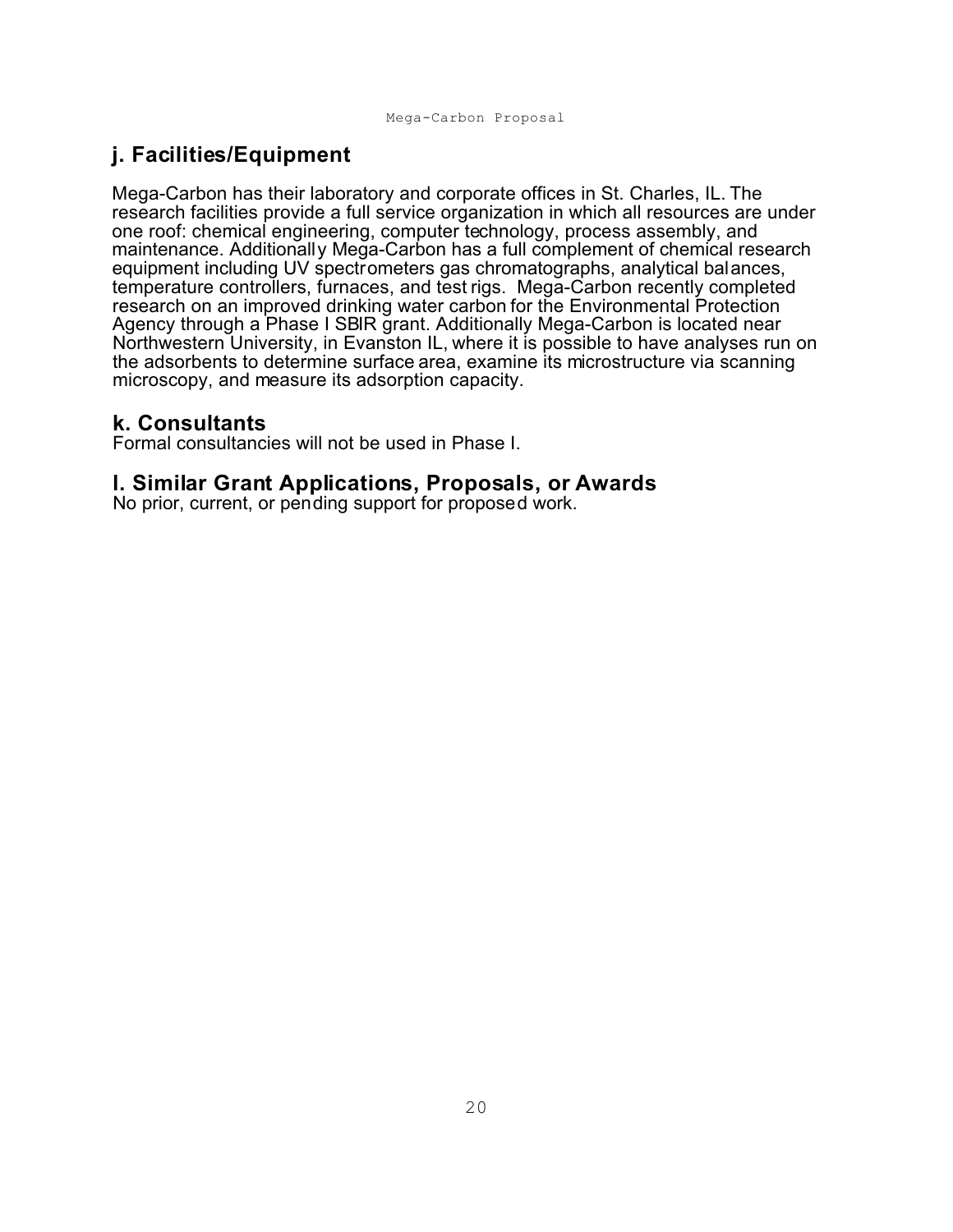# **j. Facilities/Equipment**

Mega-Carbon has their laboratory and corporate offices in St. Charles, IL. The research facilities provide a full service organization in which all resources are under one roof: chemical engineering, computer technology, process assembly, and maintenance. Additionally Mega-Carbon has a full complement of chemical research equipment including UV spectrometers gas chromatographs, analytical balances, temperature controllers, furnaces, and test rigs. Mega-Carbon recently completed research on an improved drinking water carbon for the Environmental Protection Agency through a Phase I SBIR grant. Additionally Mega-Carbon is located near Northwestern University, in Evanston IL, where it is possible to have analyses run on the adsorbents to determine surface area, examine its microstructure via scanning microscopy, and measure its adsorption capacity.

## **k. Consultants**

Formal consultancies will not be used in Phase I.

# **l. Similar Grant Applications, Proposals, or Awards**

No prior, current, or pending support for proposed work.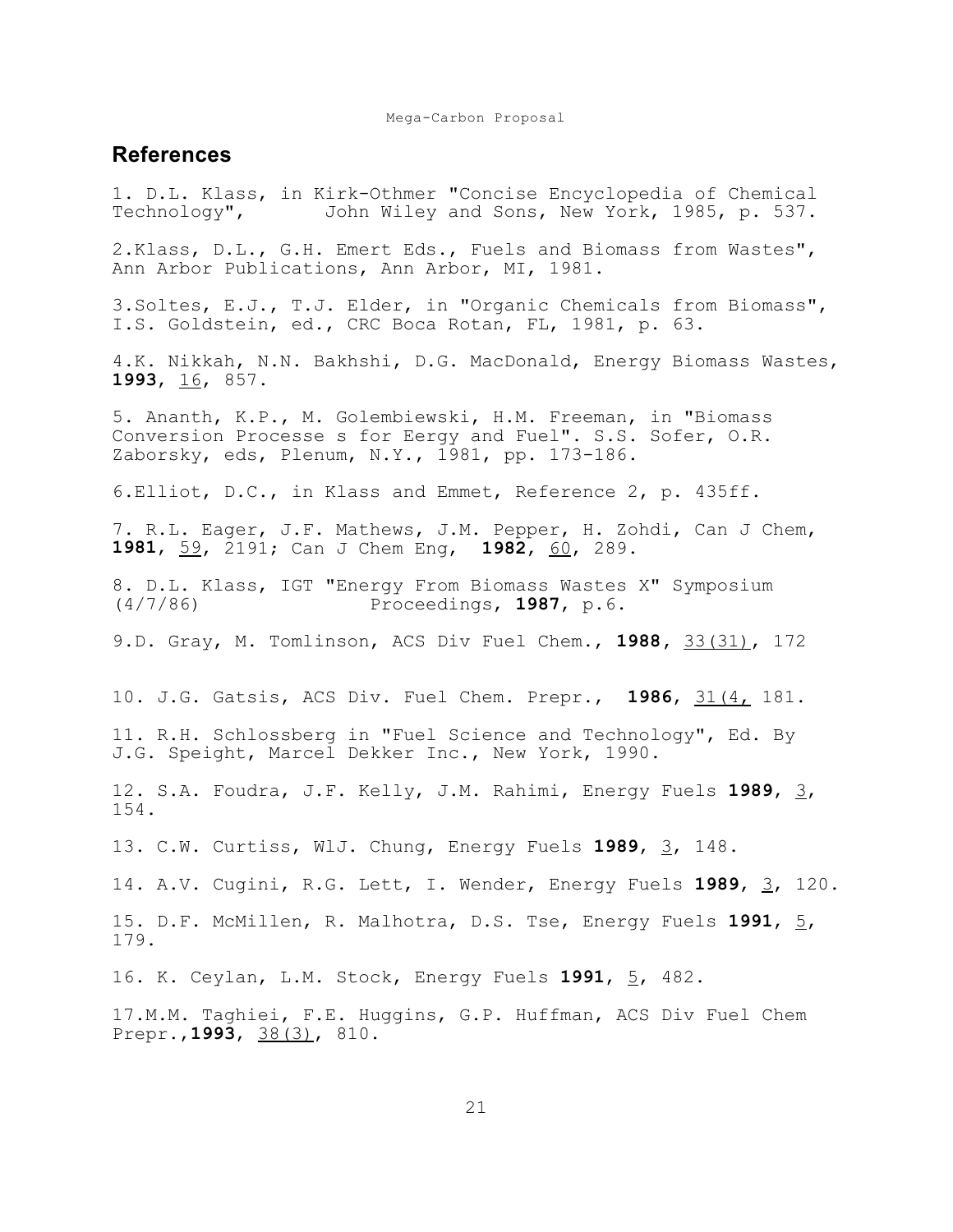#### **References**

1. D.L. Klass, in Kirk-Othmer "Concise Encyclopedia of Chemical Technology", John Wiley and Sons, New York, 1985, p. 537. 2.Klass, D.L., G.H. Emert Eds., Fuels and Biomass from Wastes", Ann Arbor Publications, Ann Arbor, MI, 1981. 3.Soltes, E.J., T.J. Elder, in "Organic Chemicals from Biomass", I.S. Goldstein, ed., CRC Boca Rotan, FL, 1981, p. 63. 4.K. Nikkah, N.N. Bakhshi, D.G. MacDonald, Energy Biomass Wastes, **1993**, 16, 857. 5. Ananth, K.P., M. Golembiewski, H.M. Freeman, in "Biomass Conversion Processe s for Eergy and Fuel". S.S. Sofer, O.R. Zaborsky, eds, Plenum, N.Y., 1981, pp. 173-186. 6.Elliot, D.C., in Klass and Emmet, Reference 2, p. 435ff. 7. R.L. Eager, J.F. Mathews, J.M. Pepper, H. Zohdi, Can J Chem, **1981**, 59, 2191; Can J Chem Eng, **1982**, 60, 289. 8. D.L. Klass, IGT "Energy From Biomass Wastes X" Symposium (4/7/86) Proceedings, **1987**, p.6. 9.D. Gray, M. Tomlinson, ACS Div Fuel Chem., **1988,** 33(31), 172 10. J.G. Gatsis, ACS Div. Fuel Chem. Prepr., **1986**, 31(4, 181. 11. R.H. Schlossberg in "Fuel Science and Technology", Ed. By J.G. Speight, Marcel Dekker Inc., New York, 1990. 12. S.A. Foudra, J.F. Kelly, J.M. Rahimi, Energy Fuels **1989**, 3, 154. 13. C.W. Curtiss, WlJ. Chung, Energy Fuels **1989**, 3, 148. 14. A.V. Cugini, R.G. Lett, I. Wender, Energy Fuels **1989**, 3, 120. 15. D.F. McMillen, R. Malhotra, D.S. Tse, Energy Fuels **1991**, 5, 179. 16. K. Ceylan, L.M. Stock, Energy Fuels **1991**, 5, 482. 17.M.M. Taghiei, F.E. Huggins, G.P. Huffman, ACS Div Fuel Chem Prepr.,**1993**, 38(3), 810.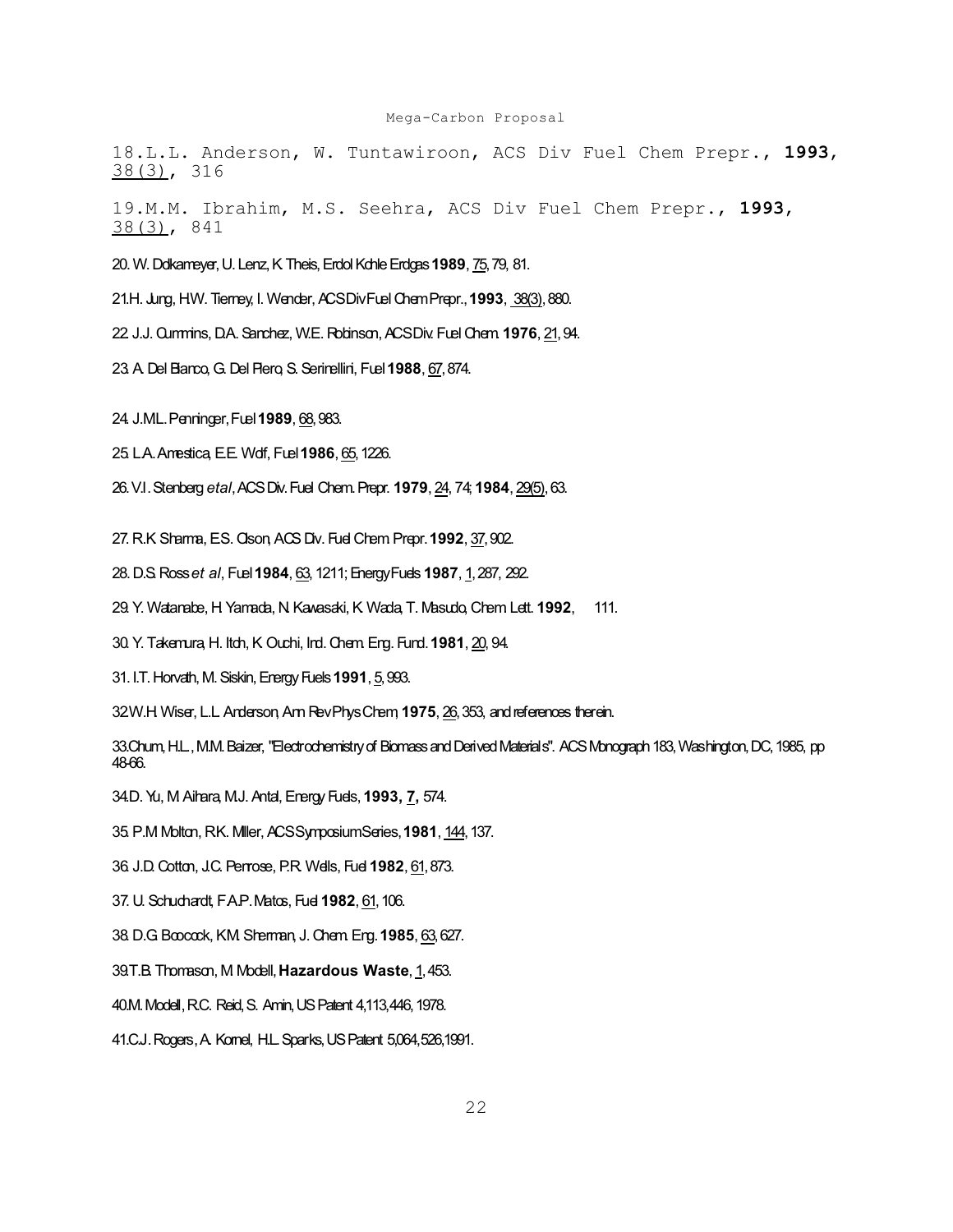18.L.L. Anderson, W. Tuntawiroon, ACS Div Fuel Chem Prepr., **1993**, 38(3), 316

19.M.M. Ibrahim, M.S. Seehra, ACS Div Fuel Chem Prepr., **1993**, 38(3), 841

20. W. Dolkameyer, U. Lenz, K. Theis, Erdol Kohle Erdgas **1989**, 75, 79, 81.

21.H. Jung, H.W. Tierney, I. Wender, ACS Div Fuel Chem Prepr., **1993**, 38(3), 880.

22. J.J. Cummins, D.A. Sanchez, W.E. Robinson, ACS Div. Fuel Chem. **1976**, 21, 94.

23. A. Del Bianco, G. Del Piero, S. Serinellini, Fuel **1988**, 67, 874.

24. J.M.L. Penninger, Fuel **1989**, 68, 983.

25. L.A. Amestica, E.E. Wolf, Fuel **1986**, 65, 1226.

26. V.I. Stenberg *etal*, ACS Div. Fuel Chem. Prepr. **1979**, 24, 74; **1984**, 29(5), 63.

27. R.K. Sharma, E.S. Olson, ACS Div. Fuel Chem. Prepr. **1992**, 37, 902.

28. D.S. Ross *et al*, Fuel **1984**, 63, 1211; Energy Fuels **1987**, 1, 287, 292.

29. Y. Watanabe, H. Yamada, N. Kawasaki, K. Wada, T. Masudo, Chem. Lett. **1992**, 111.

30. Y. Takemura, H. Itoh, K. Ouchi, Ind. Chem. Eng. Fund. **1981**, 20, 94.

31. I.T. Horvath, M. Siskin, Energy Fuels **1991**, 5, 993.

32.W.H. Wiser, L.L. Anderson, Ann Rev Phys Chem, **1975**, 26, 353, and references therein.

33.Chum, H.L., M.M. Baizer, "Electrochemistry of Biomass and Derived Materials". ACS Monograph 183, Washington, DC, 1985, pp 48-66.

34.D. Yu, M. Aihara, M.J. Antal, Energy Fuels, **1993, 7,** 574.

35. P.M. Molton, R.K. Miller, ACS Symposium Series, **1981**, 144, 137.

36. J.D. Cotton, J.C. Penrose, P.R. Wells, Fuel **1982**, 61, 873.

37. U. Schuchardt, F.A.P. Matos, Fuel **1982**, 61, 106.

38. D.G. Boocock, K.M. Sherman, J. Chem. Eng. **1985**, 63, 627.

39.T.B. Thomason, M. Modell, **Hazardous Waste**, 1, 453.

40.M. Modell, R.C. Reid, S. Amin, US Patent 4,113,446, 1978.

41.C.J. Rogers, A. Kornel, H.L. Sparks, US Patent 5,064,526,1991.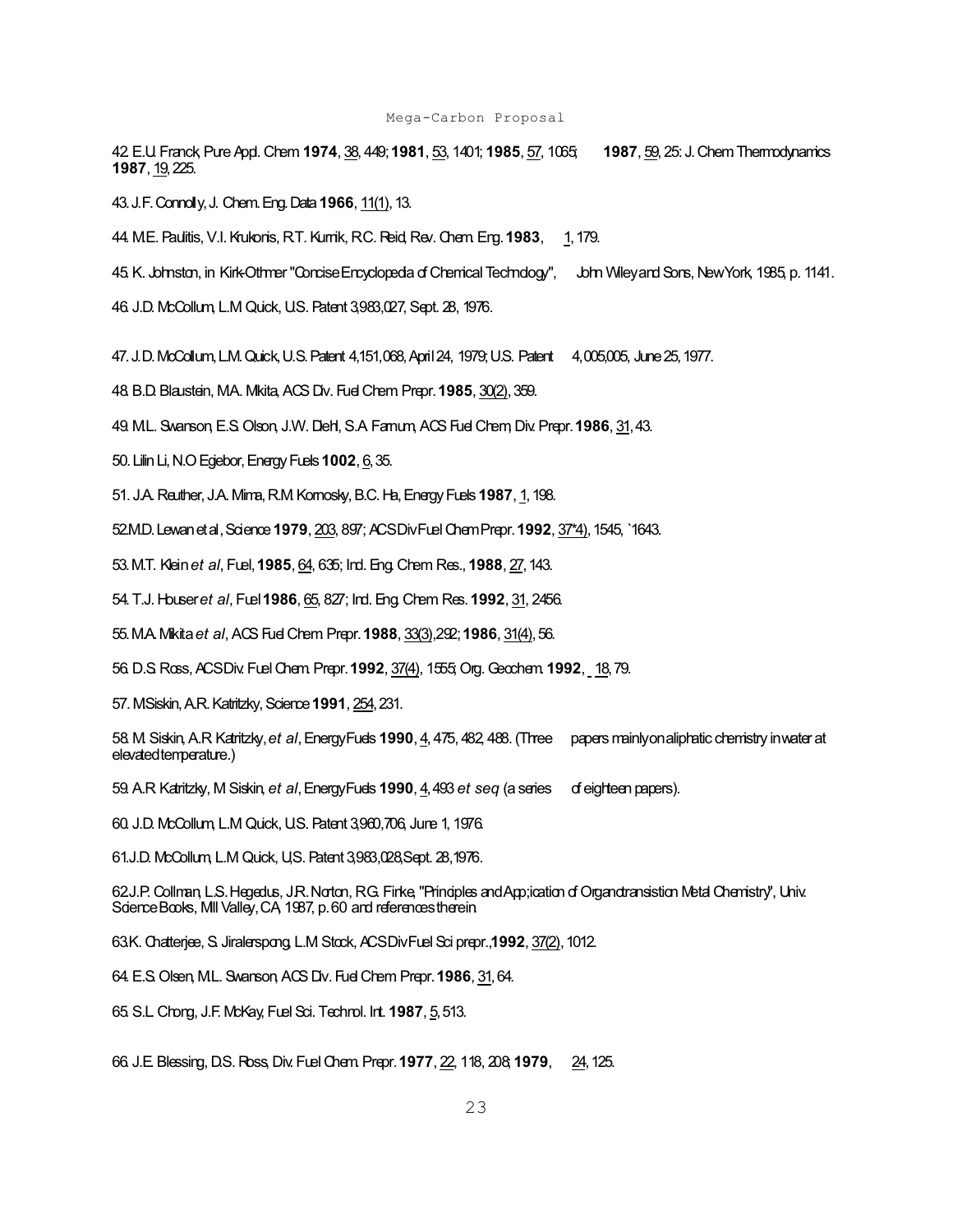42. E.U. Franck, Pure Appl. Chem. **1974**, 38, 449; **1981**, 53, 1401; **1985**, 57, 1065; **1987**, 59, 25: J. Chem. Thermodynamics **1987**, 19, 225.

43. J.F. Connolly, J. Chem. Eng. Data **1966**, 11(1), 13.

44. M.E. Paulitis, V.I. Krukonis, R.T. Kurnik, R.C. Reid, Rev. Chem. Eng. **1983**, 1, 179.

45. K. Johnston, in Kirk-Othmer "Concise Encyclopedia of Chemical Technology", John Wiley and Sons, New York, 1985, p. 1141.

46. J.D. McCollum, L.M. Quick, U.S. Patent 3,983,027, Sept. 28, 1976.

47. J.D. McCollum, L.M. Quick, U.S. Patent 4,151,068, April 24, 1979; U.S. Patent 4,005,005, June 25, 1977.

48. B.D. Blaustein, M.A. Mikita, ACS Div. Fuel Chem. Prepr. **1985**, 30(2), 359.

49. M.L. Swanson, E.S. Olson, J.W. Diehl, S.A. Farnum, ACS Fuel Chem, Div. Prepr. **1986**, 31, 43.

50. Lilin Li, N.O Egiebor, Energy Fuels **1002**, 6, 35.

51. J.A. Reuther, J.A. Mima, R.M. Kornosky, B.C. Ha, Energy Fuels **1987**, 1, 198.

52.M.D. Lewan et al, Science **1979**, 203, 897; ACS Div Fuel Chem Prepr. **1992**, 37\*4), 1545, `1643.

53. M.T. Klein *et al*, Fuel, **1985**, 64, 635; Ind. Eng. Chem. Res., **1988**, 27, 143.

54. T.J. Houser *et al*, Fuel **1986**, 65, 827; Ind. Eng. Chem. Res. **1992**, 31, 2456.

55. M.A. Mikita *et al*, ACS Fuel Chem. Prepr. **1988**, 33(3),292; **1986**, 31(4), 56.

56. D.S. Ross, ACS Div. Fuel Chem. Prepr. **1992**, 37(4), 1555; Org. Geochem. **1992**, 18, 79.

57. M.Siskin, A.R. Katritzky, Science **1991**, 254, 231.

58. M. Siskin, A.R. Katritzky, *et al*, Energy Fuels **1990**, 4, 475, 482, 488. (Three papers mainly on aliphatic chemistry in water at elevated temperature.)

59. A.R. Katritzky, M. Siskin, *et al*, Energy Fuels **1990**, 4, 493 *et seq* (a series of eighteen papers).

60. J.D. McCollum, L.M. Quick, U.S. Patent 3,960,706, June 1, 1976.

61.J.D. McCollum, L.M. Quick, U,S. Patent 3,983,028,Sept. 28,1976.

62.J.P. Collman, L.S. Hegedus, J.R. Norton, R.G. Finke, "Principles and App;ication of Organotransistion Metal Chemistry", Univ. Science Books, Mill Valley, CA, 1987, p. 60 and references therein.

63.K. Chatterjee, S. Jiralerspong, L.M. Stock, ACS Div Fuel Sci prepr.,**1992**, 37(2), 1012.

64. E.S. Olsen, M.L. Swanson, ACS Div. Fuel Chem. Prepr. **1986**, 31, 64.

65. S.L. Chong, J.F. McKay, Fuel Sci. Technol. Int. **1987**, 5, 513.

66. J.E. Blessing, D.S. Ross, Div. Fuel Chem. Prepr. **1977**, 22, 118, 208; **1979**, 24, 125.